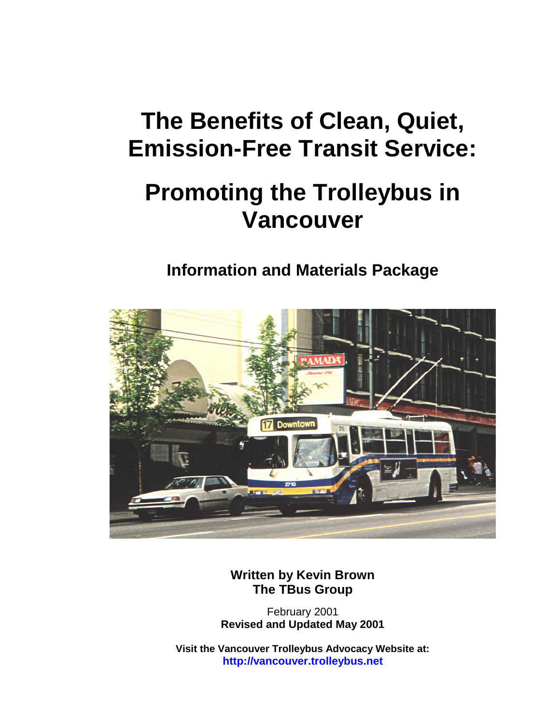## **The Benefits of Clean, Quiet, Emission-Free Transit Service:**

## **Promoting the Trolleybus in Vancouver**

## **Information and Materials Package**



**Written by Kevin Brown The TBus Group**

February 2001 **Revised and Updated May 2001**

**Visit the Vancouver Trolleybus Advocacy Website at: http://vancouver.trolleybus.net**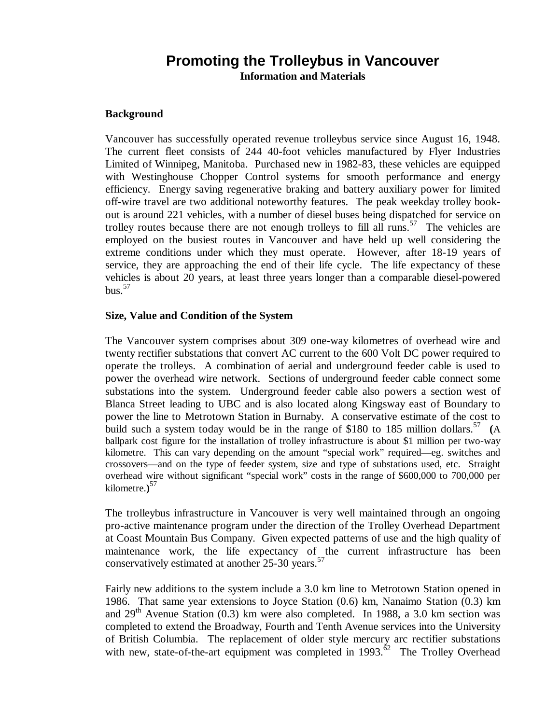### **Promoting the Trolleybus in Vancouver Information and Materials**

#### **Background**

Vancouver has successfully operated revenue trolleybus service since August 16, 1948. The current fleet consists of 244 40-foot vehicles manufactured by Flyer Industries Limited of Winnipeg, Manitoba. Purchased new in 1982-83, these vehicles are equipped with Westinghouse Chopper Control systems for smooth performance and energy efficiency. Energy saving regenerative braking and battery auxiliary power for limited off-wire travel are two additional noteworthy features. The peak weekday trolley bookout is around 221 vehicles, with a number of diesel buses being dispatched for service on trolley routes because there are not enough trolleys to fill all runs.<sup>57</sup> The vehicles are employed on the busiest routes in Vancouver and have held up well considering the extreme conditions under which they must operate. However, after 18-19 years of service, they are approaching the end of their life cycle. The life expectancy of these vehicles is about 20 years, at least three years longer than a comparable diesel-powered bus. $57$ 

#### **Size, Value and Condition of the System**

The Vancouver system comprises about 309 one-way kilometres of overhead wire and twenty rectifier substations that convert AC current to the 600 Volt DC power required to operate the trolleys. A combination of aerial and underground feeder cable is used to power the overhead wire network. Sections of underground feeder cable connect some substations into the system. Underground feeder cable also powers a section west of Blanca Street leading to UBC and is also located along Kingsway east of Boundary to power the line to Metrotown Station in Burnaby. A conservative estimate of the cost to build such a system today would be in the range of \$180 to 185 million dollars.<sup>57</sup> (A ballpark cost figure for the installation of trolley infrastructure is about \$1 million per two-way kilometre. This can vary depending on the amount "special work" required—eg. switches and crossovers— and on the type of feeder system, size and type of substations used, etc. Straight overhead wire without significant "special work" costs in the range of \$600,000 to 700,000 per kilometre.**)** 57

The trolleybus infrastructure in Vancouver is very well maintained through an ongoing pro-active maintenance program under the direction of the Trolley Overhead Department at Coast Mountain Bus Company. Given expected patterns of use and the high quality of maintenance work, the life expectancy of the current infrastructure has been conservatively estimated at another 25-30 years.<sup>57</sup>

Fairly new additions to the system include a 3.0 km line to Metrotown Station opened in 1986. That same year extensions to Joyce Station (0.6) km, Nanaimo Station (0.3) km and  $29<sup>th</sup>$  Avenue Station (0.3) km were also completed. In 1988, a 3.0 km section was completed to extend the Broadway, Fourth and Tenth Avenue services into the University of British Columbia. The replacement of older style mercury arc rectifier substations with new, state-of-the-art equipment was completed in  $1993<sup>62</sup>$  The Trolley Overhead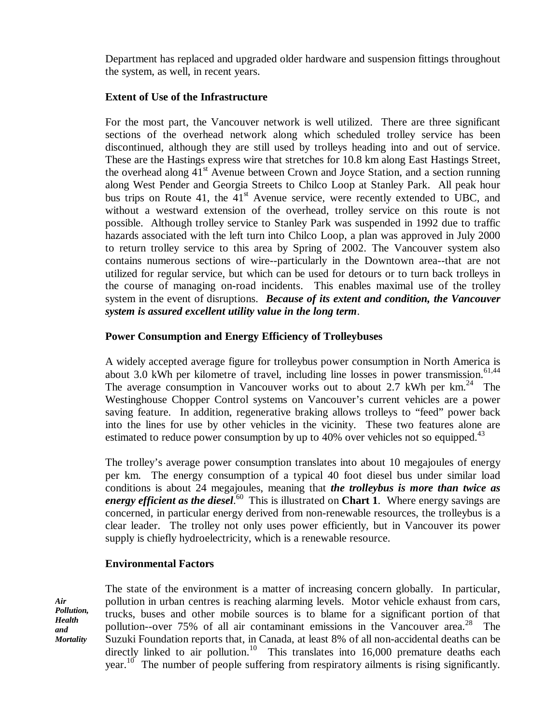Department has replaced and upgraded older hardware and suspension fittings throughout the system, as well, in recent years.

### **Extent of Use of the Infrastructure**

For the most part, the Vancouver network is well utilized. There are three significant sections of the overhead network along which scheduled trolley service has been discontinued, although they are still used by trolleys heading into and out of service. These are the Hastings express wire that stretches for 10.8 km along East Hastings Street, the overhead along  $41<sup>st</sup>$  Avenue between Crown and Joyce Station, and a section running along West Pender and Georgia Streets to Chilco Loop at Stanley Park. All peak hour bus trips on Route 41, the  $41<sup>st</sup>$  Avenue service, were recently extended to UBC, and without a westward extension of the overhead, trolley service on this route is not possible. Although trolley service to Stanley Park was suspended in 1992 due to traffic hazards associated with the left turn into Chilco Loop, a plan was approved in July 2000 to return trolley service to this area by Spring of 2002. The Vancouver system also contains numerous sections of wire--particularly in the Downtown area--that are not utilized for regular service, but which can be used for detours or to turn back trolleys in the course of managing on-road incidents. This enables maximal use of the trolley system in the event of disruptions. *Because of its extent and condition, the Vancouver system is assured excellent utility value in the long term*.

### **Power Consumption and Energy Efficiency of Trolleybuses**

A widely accepted average figure for trolleybus power consumption in North America is about 3.0 kWh per kilometre of travel, including line losses in power transmission.<sup>61,44</sup> The average consumption in Vancouver works out to about 2.7 kWh per  $km<sup>24</sup>$  The Westinghouse Chopper Control systems on Vancouver's current vehicles are a power saving feature. In addition, regenerative braking allows trolleys to "feed" power back into the lines for use by other vehicles in the vicinity. These two features alone are estimated to reduce power consumption by up to 40% over vehicles not so equipped.<sup>43</sup>

The trolley's average power consumption translates into about 10 megajoules of energy per km. The energy consumption of a typical 40 foot diesel bus under similar load conditions is about 24 megajoules, meaning that *the trolleybus is more than twice as* energy efficient as the diesel.<sup>60</sup> This is illustrated on Chart 1. Where energy savings are concerned, in particular energy derived from non-renewable resources, the trolleybus is a clear leader. The trolley not only uses power efficiently, but in Vancouver its power supply is chiefly hydroelectricity, which is a renewable resource.

#### **Environmental Factors**

*Air Pollution, Health and Mortality*

The state of the environment is a matter of increasing concern globally. In particular, pollution in urban centres is reaching alarming levels. Motor vehicle exhaust from cars, trucks, buses and other mobile sources is to blame for a significant portion of that pollution--over 75% of all air contaminant emissions in the Vancouver area.<sup>28</sup> The Suzuki Foundation reports that, in Canada, at least 8% of all non-accidental deaths can be directly linked to air pollution.<sup>10</sup> This translates into  $16,000$  premature deaths each year.<sup>10</sup> The number of people suffering from respiratory ailments is rising significantly.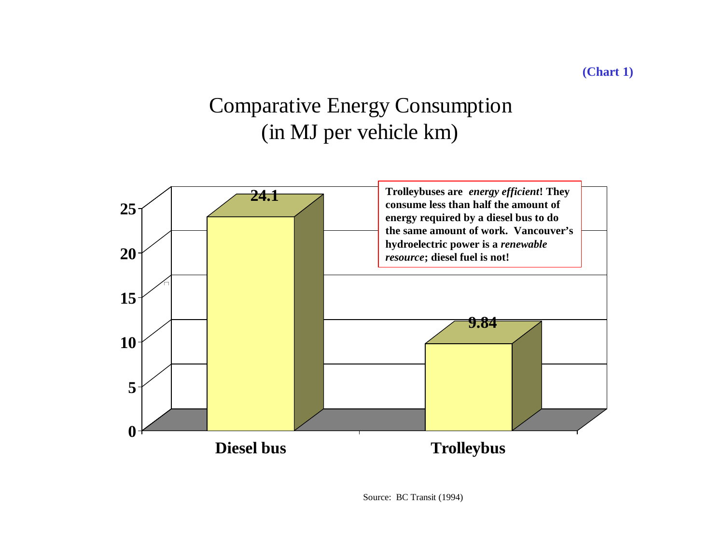## Comparative Energy Consumption (in MJ per vehicle km)



Source: BC Transit (1994)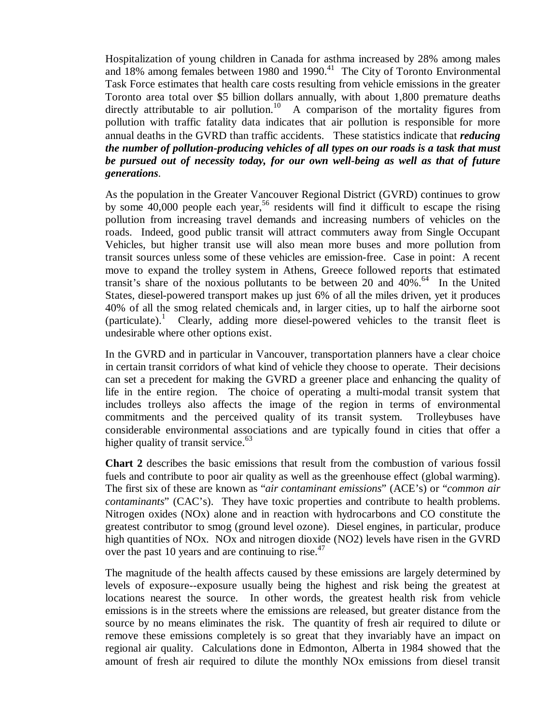Hospitalization of young children in Canada for asthma increased by 28% among males and 18% among females between 1980 and 1990. $^{41}$  The City of Toronto Environmental Task Force estimates that health care costs resulting from vehicle emissions in the greater Toronto area total over \$5 billion dollars annually, with about 1,800 premature deaths directly attributable to air pollution.<sup>10</sup> A comparison of the mortality figures from pollution with traffic fatality data indicates that air pollution is responsible for more annual deaths in the GVRD than traffic accidents. These statistics indicate that *reducing the number of pollution-producing vehicles of all types on our roads is a task that must be pursued out of necessity today, for our own well-being as well as that of future generations*.

As the population in the Greater Vancouver Regional District (GVRD) continues to grow by some 40,000 people each year, <sup>56</sup> residents will find it difficult to escape the rising pollution from increasing travel demands and increasing numbers of vehicles on the roads. Indeed, good public transit will attract commuters away from Single Occupant Vehicles, but higher transit use will also mean more buses and more pollution from transit sources unless some of these vehicles are emission-free. Case in point: A recent move to expand the trolley system in Athens, Greece followed reports that estimated transit's share of the noxious pollutants to be between 20 and  $40\%$ .<sup>64</sup> In the United States, diesel-powered transport makes up just 6% of all the miles driven, yet it produces 40% of all the smog related chemicals and, in larger cities, up to half the airborne soot (particulate).<sup>1</sup> Clearly, adding more diesel-powered vehicles to the transit fleet is undesirable where other options exist.

In the GVRD and in particular in Vancouver, transportation planners have a clear choice in certain transit corridors of what kind of vehicle they choose to operate. Their decisions can set a precedent for making the GVRD a greener place and enhancing the quality of life in the entire region. The choice of operating a multi-modal transit system that includes trolleys also affects the image of the region in terms of environmental commitments and the perceived quality of its transit system. Trolleybuses have considerable environmental associations and are typically found in cities that offer a higher quality of transit service. $63$ 

**Chart 2** describes the basic emissions that result from the combustion of various fossil fuels and contribute to poor air quality as well as the greenhouse effect (global warming). The first six of these are known as "*air contaminant emissions*" (ACE's) or "*common air contaminants*" (CAC's). They have toxic properties and contribute to health problems. Nitrogen oxides (NOx) alone and in reaction with hydrocarbons and CO constitute the greatest contributor to smog (ground level ozone). Diesel engines, in particular, produce high quantities of NOx. NOx and nitrogen dioxide (NO2) levels have risen in the GVRD over the past 10 years and are continuing to rise.<sup>47</sup>

The magnitude of the health affects caused by these emissions are largely determined by levels of exposure--exposure usually being the highest and risk being the greatest at locations nearest the source. In other words, the greatest health risk from vehicle emissions is in the streets where the emissions are released, but greater distance from the source by no means eliminates the risk. The quantity of fresh air required to dilute or remove these emissions completely is so great that they invariably have an impact on regional air quality. Calculations done in Edmonton, Alberta in 1984 showed that the amount of fresh air required to dilute the monthly NOx emissions from diesel transit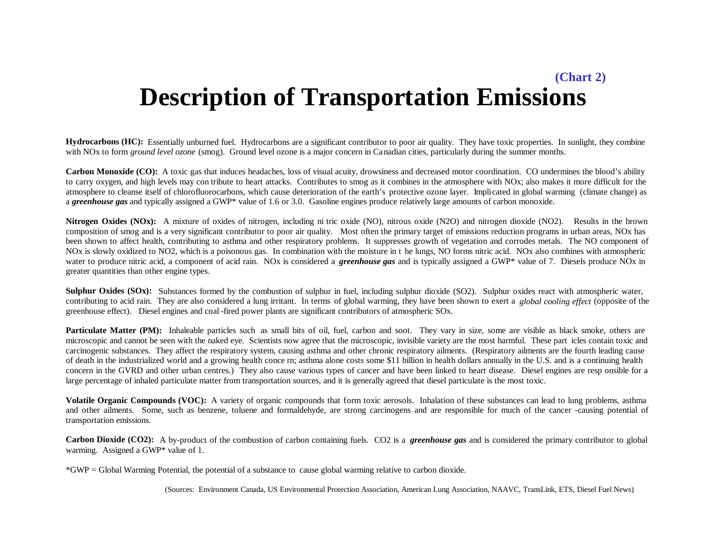## **Description of Transportation Emissions (Chart 2)**

**Hydrocarbons (HC):** Essentially unburned fuel. Hydrocarbons are a significant contributor to poor air quality. They have toxic properties. In sunlight, they combine with NOx to form *ground level ozone* (smog). Ground level ozone is a major concern in Canadian cities, particularly during the summer months.

Carbon Monoxide (CO): A toxic gas that induces headaches, loss of visual acuity, drowsiness and decreased motor coordination. CO undermines the blood's ability to carry oxygen, and high levels may con tribute to heart attacks. Contributes to smog as it combines in the atmosphere with NOx; also makes it more difficult for the atmosphere to cleanse itself of chlorofluorocarbons, which cause deterioration of the earth's protective ozone layer. Implicated in global warming (climate change) as a *greenhouse gas* and typically assigned a GWP\* value of 1.6 or 3.0. Gasoline engines produce relatively large amounts of carbon monoxide.

**Nitrogen Oxides (NOx):** A mixture of oxides of nitrogen, including ni tric oxide (NO), nitrous oxide (N2O) and nitrogen dioxide (NO2). Results in the brown composition of smog and is a very significant contributor to poor air quality. Most often the primary target of emissions reduction programs in urban areas, NOx has been shown to affect health, contributing to asthma and other respiratory problems. It suppresses growth of vegetation and corrodes metals. The NO component of NOx is slowly oxidized to NO2, which is a poisonous gas. In combination with the moisture in t he lungs, NO forms nitric acid. NOx also combines with atmospheric water to produce nitric acid, a component of acid rain. NOx is considered a *greenhouse gas* and is typically assigned a GWP\* value of 7. Diesels produce NOx in greater quantities than other engine types.

**Sulphur Oxides (SOx):** Substances formed by the combustion of sulphur in fuel, including sulphur dioxide (SO2). Sulphur oxides react with atmospheric water, contributing to acid rain. They are also considered a lung irritant. In terms of global warming, they have been shown to exert a *global cooling effect* (opposite of the greenhouse effect). Diesel engines and coal -fired power plants are significant contributors of atmospheric SOx.

**Particulate Matter (PM):** Inhaleable particles such as small bits of oil, fuel, carbon and soot. They vary in size, some are visible as black smoke, others are microscopic and cannot be seen with the naked eye. Scientists now agree that the microscopic, invisible variety are the most harmful. These part icles contain toxic and carcinogenic substances. They affect the respiratory system, causing asthma and other chronic respiratory ailments. (Respiratory ailments are the fourth leading cause of death in the industrialized world and a growing health conce rn; asthma alone costs some \$11 billion in health dollars annually in the U.S. and is a continuing health concern in the GVRD and other urban centres.) They also cause various types of cancer and have been linked to heart disease. Diesel engines are resp onsible for a large percentage of inhaled particulate matter from transportation sources, and it is generally agreed that diesel particulate is the most toxic.

Volatile Organic Compounds (VOC): A variety of organic compounds that form toxic aerosols. Inhalation of these substances can lead to lung problems, asthma and other ailments. Some, such as benzene, toluene and formaldehyde, are strong carcinogens and are responsible for much of the cancer -causing potential of transportation emissions.

**Carbon Dioxide (CO2):** A by-product of the combustion of carbon containing fuels. CO2 is a *greenhouse gas* and is considered the primary contributor to global warming. Assigned a GWP\* value of 1.

\*GWP = Global Warming Potential, the potential of a substance to cause global warming relative to carbon dioxide.

(Sources: Environment Canada, US Environmental Protection Association, American Lung Association, NAAVC, TransLink, ETS, Diesel Fuel News)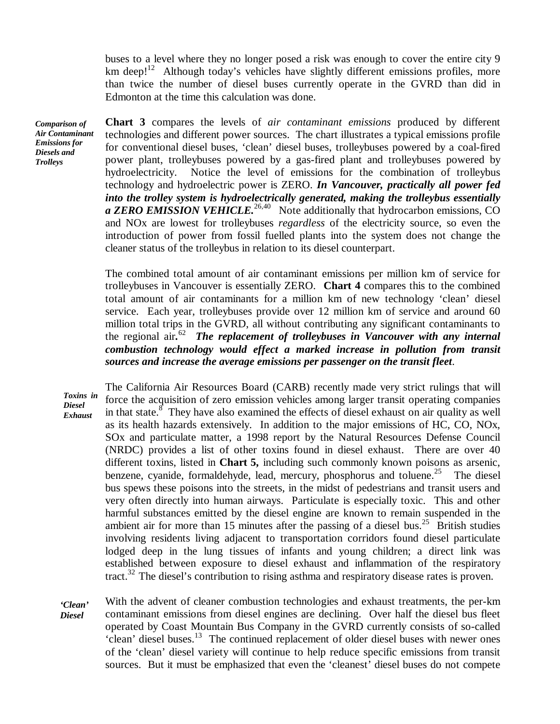buses to a level where they no longer posed a risk was enough to cover the entire city 9 km deep!<sup>12</sup> Although today's vehicles have slightly different emissions profiles, more than twice the number of diesel buses currently operate in the GVRD than did in Edmonton at the time this calculation was done.

*Comparison of Air Contaminant Emissions for Diesels and Trolleys*

**Chart 3** compares the levels of *air contaminant emissions* produced by different technologies and different power sources. The chart illustrates a typical emissions profile for conventional diesel buses, 'clean' diesel buses, trolleybuses powered by a coal-fired power plant, trolleybuses powered by a gas-fired plant and trolleybuses powered by hydroelectricity. Notice the level of emissions for the combination of trolleybus technology and hydroelectric power is ZERO. *In Vancouver, practically all power fed into the trolley system is hydroelectrically generated, making the trolleybus essentially a ZERO EMISSION VEHICLE.*26,40 Note additionally that hydrocarbon emissions, CO and NOx are lowest for trolleybuses *regardless* of the electricity source, so even the introduction of power from fossil fuelled plants into the system does not change the cleaner status of the trolleybus in relation to its diesel counterpart.

The combined total amount of air contaminant emissions per million km of service for trolleybuses in Vancouver is essentially ZERO. **Chart 4** compares this to the combined total amount of air contaminants for a million km of new technology 'clean' diesel service. Each year, trolleybuses provide over 12 million km of service and around 60 million total trips in the GVRD, all without contributing any significant contaminants to the regional air*.* <sup>62</sup> *The replacement of trolleybuses in Vancouver with any internal combustion technology would effect a marked increase in pollution from transit sources and increase the average emissions per passenger on the transit fleet*.

*Toxins in Diesel Exhaust* The California Air Resources Board (CARB) recently made very strict rulings that will force the acquisition of zero emission vehicles among larger transit operating companies in that state.<sup>8</sup> They have also examined the effects of diesel exhaust on air quality as well as its health hazards extensively. In addition to the major emissions of HC, CO, NOx, SOx and particulate matter, a 1998 report by the Natural Resources Defense Council (NRDC) provides a list of other toxins found in diesel exhaust. There are over 40 different toxins, listed in **Chart 5,** including such commonly known poisons as arsenic, benzene, cyanide, formaldehyde, lead, mercury, phosphorus and toluene.<sup>25</sup> The diesel bus spews these poisons into the streets, in the midst of pedestrians and transit users and very often directly into human airways. Particulate is especially toxic. This and other harmful substances emitted by the diesel engine are known to remain suspended in the ambient air for more than 15 minutes after the passing of a diesel bus.<sup>25</sup> British studies involving residents living adjacent to transportation corridors found diesel particulate lodged deep in the lung tissues of infants and young children; a direct link was established between exposure to diesel exhaust and inflammation of the respiratory tract.<sup>32</sup> The diesel's contribution to rising asthma and respiratory disease rates is proven.

*'Clean' Diesel* With the advent of cleaner combustion technologies and exhaust treatments, the per-km contaminant emissions from diesel engines are declining. Over half the diesel bus fleet operated by Coast Mountain Bus Company in the GVRD currently consists of so-called  $c$ lean' diesel buses.<sup>13</sup> The continued replacement of older diesel buses with newer ones of the 'clean' diesel variety will continue to help reduce specific emissions from transit sources. But it must be emphasized that even the 'cleanest' diesel buses do not compete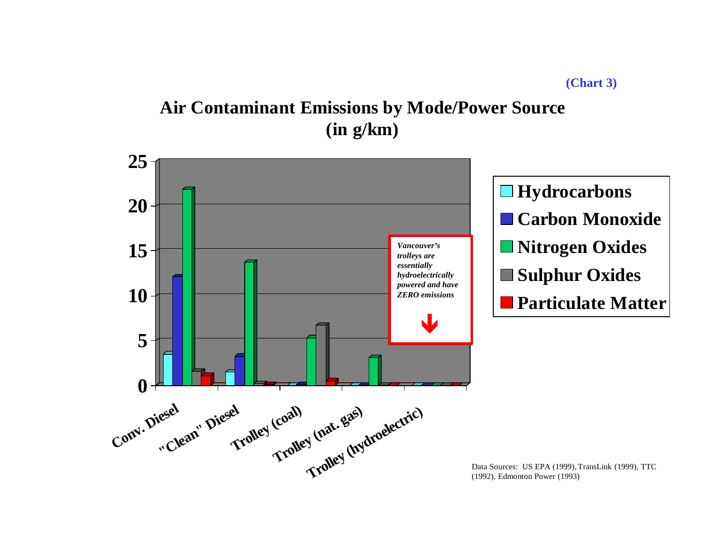## **Air Contaminant Emissions by Mode/Power Source (in g/km)**

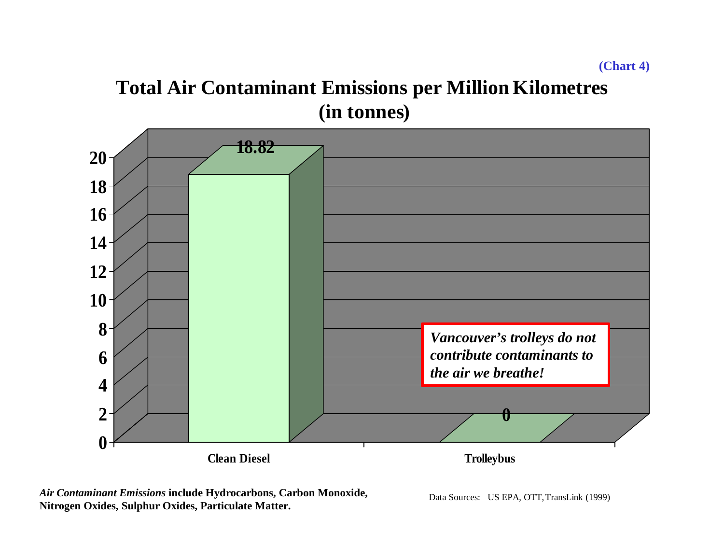## **Total Air Contaminant Emissions per Million Kilometres (in tonnes)**



*Air Contaminant Emissions* **include Hydrocarbons, Carbon Monoxide, Nitrogen Oxides, Sulphur Oxides, Particulate Matter.**

Data Sources: US EPA, OTT, TransLink (1999)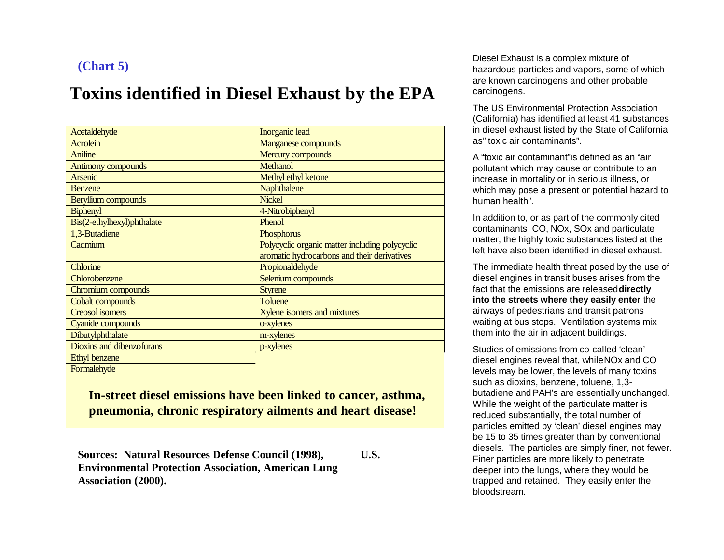### **(Chart 5)**

## **Toxins identified in Diesel Exhaust by the EPA**

| Acetaldehyde               | Inorganic lead                                 |
|----------------------------|------------------------------------------------|
| <b>Acrolein</b>            | <b>Manganese compounds</b>                     |
| Aniline                    | Mercury compounds                              |
| <b>Antimony compounds</b>  | <b>Methanol</b>                                |
| Arsenic                    | Methyl ethyl ketone                            |
| <b>Benzene</b>             | Naphthalene                                    |
| Beryllium compounds        | <b>Nickel</b>                                  |
| <b>Biphenyl</b>            | 4-Nitrobiphenyl                                |
| Bis(2-ethylhexyl)phthalate | Phenol                                         |
| 1,3-Butadiene              | Phosphorus                                     |
| Cadmium                    | Polycyclic organic matter including polycyclic |
|                            | aromatic hydrocarbons and their derivatives    |
| Chlorine                   | Propionaldehyde                                |
| Chlorobenzene              | Selenium compounds                             |
| Chromium compounds         | <b>Styrene</b>                                 |
| Cobalt compounds           | <b>Toluene</b>                                 |
| <b>Creosol</b> isomers     | Xylene isomers and mixtures                    |
| Cyanide compounds          | o-xylenes                                      |
| Dibutylphthalate           | m-xylenes                                      |
| Dioxins and dibenzofurans  | p-xylenes                                      |
| <b>Ethyl benzene</b>       |                                                |
| Formalehyde                |                                                |

**In-street diesel emissions have been linked to cancer, asthma, pneumonia, chronic respiratory ailments and heart disease!**

**Sources: Natural Resources Defense Council (1998), U.S. Environmental Protection Association, American Lung Association (2000).**

Diesel Exhaust is a complex mixture of hazardous particles and vapors, some of which are known carcinogens and other probable carcinogens.

The US Environmental Protection Association (California) has identified at least 41 substances in diesel exhaust listed by the State of California as" toxic air contaminants".

A "toxic air contaminant"is defined as an "air pollutant which may cause or contribute to an increase in mortality or in serious illness, or which may pose a present or potential hazard to human health".

In addition to, or as part of the commonly cited contaminants CO, NOx, SOx and particulate matter, the highly toxic substances listed at the left have also been identified in diesel exhaust.

The immediate health threat posed by the use of diesel engines in transit buses arises from the fact that the emissions are released **directly into the streets where they easily enter** the airways of pedestrians and transit patrons waiting at bus stops. Ventilation systems mix them into the air in adjacent buildings.

Studies of emissions from co-called 'clean' diesel engines reveal that, while NOx and CO levels may be lower, the levels of many toxins such as dioxins, benzene, toluene, 1,3 butadiene and PAH's are essentially unchanged. While the weight of the particulate matter is reduced substantially, the total number of particles emitted by 'clean' diesel engines may be 15 to 35 times greater than by conventional diesels. The particles are simply finer, not fewer. Finer particles are more likely to penetrate deeper into the lungs, where they would be trapped and retained. They easily enter the bloodstream.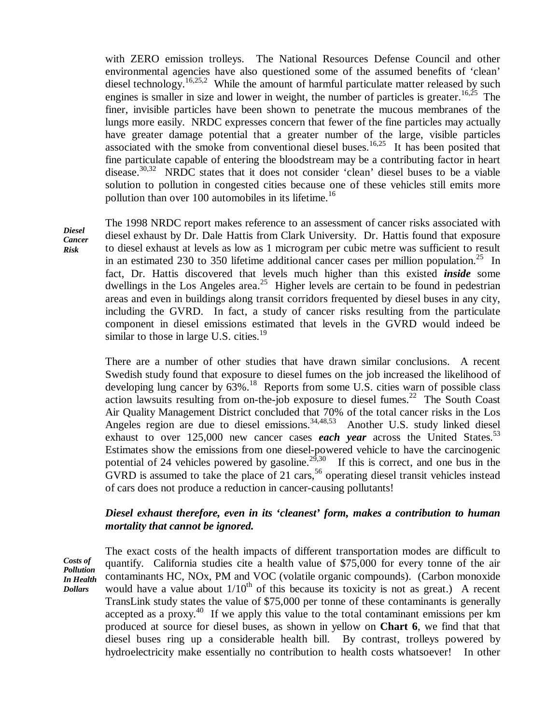with ZERO emission trolleys. The National Resources Defense Council and other environmental agencies have also questioned some of the assumed benefits of 'clean' diesel technology.<sup>16,25,2</sup> While the amount of harmful particulate matter released by such engines is smaller in size and lower in weight, the number of particles is greater.<sup>16,25</sup> The finer, invisible particles have been shown to penetrate the mucous membranes of the lungs more easily. NRDC expresses concern that fewer of the fine particles may actually have greater damage potential that a greater number of the large, visible particles associated with the smoke from conventional diesel buses.<sup>16,25</sup> It has been posited that fine particulate capable of entering the bloodstream may be a contributing factor in heart disease.<sup>30,32</sup> NRDC states that it does not consider 'clean' diesel buses to be a viable solution to pollution in congested cities because one of these vehicles still emits more pollution than over 100 automobiles in its lifetime.<sup>16</sup>

*Diesel Cancer Risk*

The 1998 NRDC report makes reference to an assessment of cancer risks associated with diesel exhaust by Dr. Dale Hattis from Clark University. Dr. Hattis found that exposure to diesel exhaust at levels as low as 1 microgram per cubic metre was sufficient to result in an estimated 230 to 350 lifetime additional cancer cases per million population.<sup>25</sup> In fact, Dr. Hattis discovered that levels much higher than this existed *inside* some dwellings in the Los Angeles area.<sup>25</sup> Higher levels are certain to be found in pedestrian areas and even in buildings along transit corridors frequented by diesel buses in any city, including the GVRD. In fact, a study of cancer risks resulting from the particulate component in diesel emissions estimated that levels in the GVRD would indeed be similar to those in large U.S. cities. $19$ 

There are a number of other studies that have drawn similar conclusions. A recent Swedish study found that exposure to diesel fumes on the job increased the likelihood of developing lung cancer by  $63\%$ .<sup>18</sup> Reports from some U.S. cities warn of possible class action lawsuits resulting from on-the-job exposure to diesel fumes.<sup>22</sup> The South Coast Air Quality Management District concluded that 70% of the total cancer risks in the Los Angeles region are due to diesel emissions.<sup>34,48,53</sup> Another U.S. study linked diesel exhaust to over  $125,000$  new cancer cases *each year* across the United States.<sup>53</sup> Estimates show the emissions from one diesel-powered vehicle to have the carcinogenic potential of 24 vehicles powered by gasoline.<sup>29,30</sup> If this is correct, and one bus in the GVRD is assumed to take the place of 21 cars,<sup>56</sup> operating diesel transit vehicles instead of cars does not produce a reduction in cancer-causing pollutants!

#### *Diesel exhaust therefore, even in its 'cleanest' form, makes a contribution to human mortality that cannot be ignored.*

*Costs of Pollution In Health Dollars*

The exact costs of the health impacts of different transportation modes are difficult to quantify. California studies cite a health value of \$75,000 for every tonne of the air contaminants HC, NOx, PM and VOC (volatile organic compounds). (Carbon monoxide would have a value about  $1/10^{th}$  of this because its toxicity is not as great.) A recent TransLink study states the value of \$75,000 per tonne of these contaminants is generally accepted as a proxy.<sup>40</sup> If we apply this value to the total contaminant emissions per km produced at source for diesel buses, as shown in yellow on **Chart 6**, we find that that diesel buses ring up a considerable health bill. By contrast, trolleys powered by hydroelectricity make essentially no contribution to health costs whatsoever! In other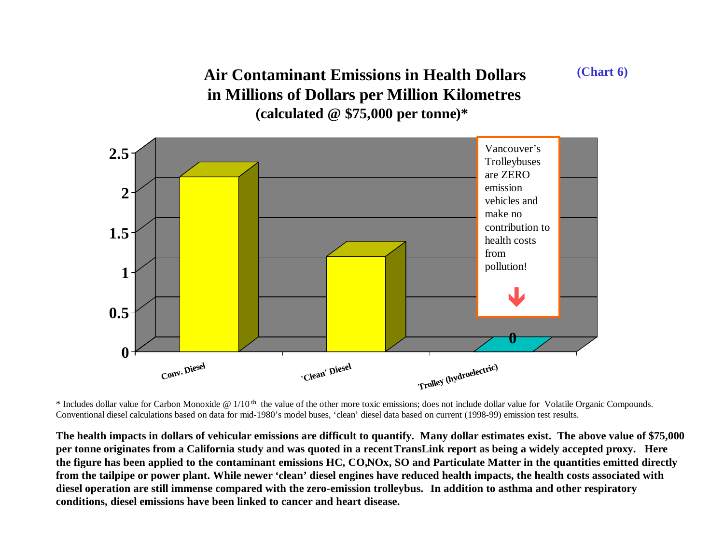## **Air Contaminant Emissions in Health Dollars in Millions of Dollars per Million Kilometres (calculated @ \$75,000 per tonne)\***



 $*$  Includes dollar value for Carbon Monoxide @ 1/10<sup>th</sup> the value of the other more toxic emissions; does not include dollar value for Volatile Organic Compounds. Conventional diesel calculations based on data for mid-1980's model buses, 'clean' diesel data based on current (1998-99) emission test results.

**The health impacts in dollars of vehicular emissions are difficult to quantify. Many dollar estimates exist. The above value of \$75,000 per tonne originates from a California study and was quoted in a recent TransLink report as being a widely accepted proxy. Here the figure has been applied to the contaminant emissions HC, CO, NOx, SO and Particulate Matter in the quantities emitted directly from the tailpipe or power plant. While newer 'clean' diesel engines have reduced health impacts, the health costs associated with diesel operation are still immense compared with the zero-emission trolleybus. In addition to asthma and other respiratory conditions, diesel emissions have been linked to cancer and heart disease.**

**(Chart 6)**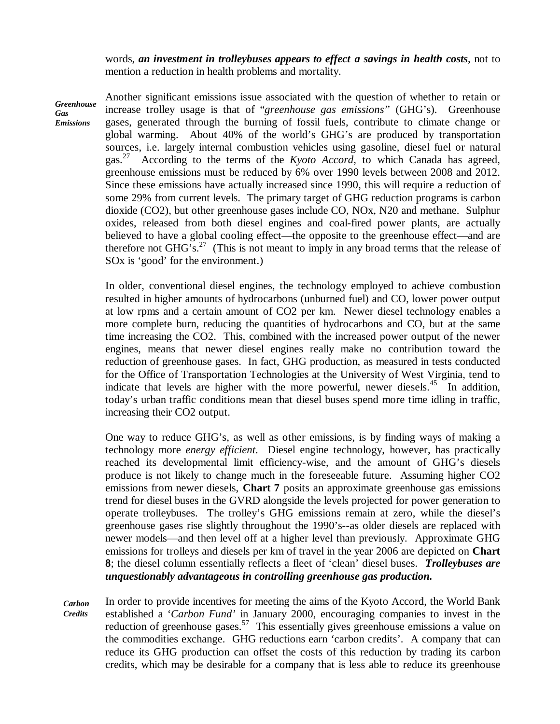words, *an investment in trolleybuses appears to effect a savings in health costs*, not to mention a reduction in health problems and mortality.

*Greenhouse Gas Emissions*

Another significant emissions issue associated with the question of whether to retain or increase trolley usage is that of "*greenhouse gas emissions"* (GHG's). Greenhouse gases, generated through the burning of fossil fuels, contribute to climate change or global warming. About 40% of the world's GHG's are produced by transportation sources, i.e. largely internal combustion vehicles using gasoline, diesel fuel or natural gas.<sup>27</sup> According to the terms of the *Kyoto Accord*, to which Canada has agreed, greenhouse emissions must be reduced by 6% over 1990 levels between 2008 and 2012. Since these emissions have actually increased since 1990, this will require a reduction of some 29% from current levels. The primary target of GHG reduction programs is carbon dioxide (CO2), but other greenhouse gases include CO, NOx, N20 and methane. Sulphur oxides, released from both diesel engines and coal-fired power plants, are actually believed to have a global cooling effect— the opposite to the greenhouse effect— and are therefore not GHG's.<sup>27</sup> (This is not meant to imply in any broad terms that the release of SOx is 'good' for the environment.)

In older, conventional diesel engines, the technology employed to achieve combustion resulted in higher amounts of hydrocarbons (unburned fuel) and CO, lower power output at low rpms and a certain amount of CO2 per km. Newer diesel technology enables a more complete burn, reducing the quantities of hydrocarbons and CO, but at the same time increasing the CO2. This, combined with the increased power output of the newer engines, means that newer diesel engines really make no contribution toward the reduction of greenhouse gases. In fact, GHG production, as measured in tests conducted for the Office of Transportation Technologies at the University of West Virginia, tend to indicate that levels are higher with the more powerful, newer diesels. $45$  In addition, today's urban traffic conditions mean that diesel buses spend more time idling in traffic, increasing their CO2 output.

One way to reduce GHG's, as well as other emissions, is by finding ways of making a technology more *energy efficient*. Diesel engine technology, however, has practically reached its developmental limit efficiency-wise, and the amount of GHG's diesels produce is not likely to change much in the foreseeable future. Assuming higher CO2 emissions from newer diesels, **Chart 7** posits an approximate greenhouse gas emissions trend for diesel buses in the GVRD alongside the levels projected for power generation to operate trolleybuses. The trolley's GHG emissions remain at zero, while the diesel's greenhouse gases rise slightly throughout the 1990's--as older diesels are replaced with newer models— and then level off at a higher level than previously. Approximate GHG emissions for trolleys and diesels per km of travel in the year 2006 are depicted on **Chart 8**; the diesel column essentially reflects a fleet of 'clean' diesel buses. *Trolleybuses are unquestionably advantageous in controlling greenhouse gas production.*

*Carbon Credits* In order to provide incentives for meeting the aims of the Kyoto Accord, the World Bank established a '*Carbon Fund'* in January 2000, encouraging companies to invest in the reduction of greenhouse gases.<sup>57</sup> This essentially gives greenhouse emissions a value on the commodities exchange. GHG reductions earn 'carbon credits'. A company that can reduce its GHG production can offset the costs of this reduction by trading its carbon credits, which may be desirable for a company that is less able to reduce its greenhouse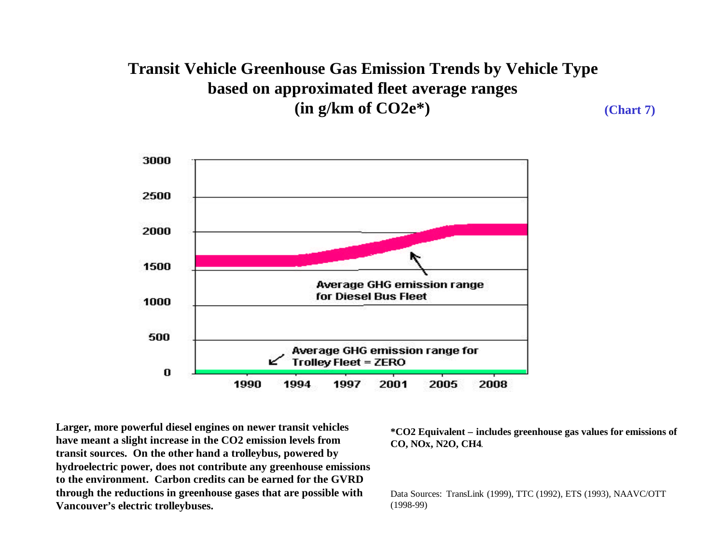### **Transit Vehicle Greenhouse Gas Emission Trends by Vehicle Type based on approximated fleet average ranges (in g/km of CO2e\*) (Chart 7)**



**Larger, more powerful diesel engines on newer transit vehicles have meant a slight increase in the CO2 emission levels from transit sources. On the other hand a trolleybus, powered by hydroelectric power, does not contribute any greenhouse emissions to the environment. Carbon credits can be earned for the GVRD through the reductions in greenhouse gases that are possible with Vancouver's electric trolleybuses.**

**\*CO2 Equivalent – includes greenhouse gas values for emissions of CO, NOx, N2O, CH4**.

Data Sources: TransLink (1999), TTC (1992), ETS (1993), NAAVC/OTT (1998-99)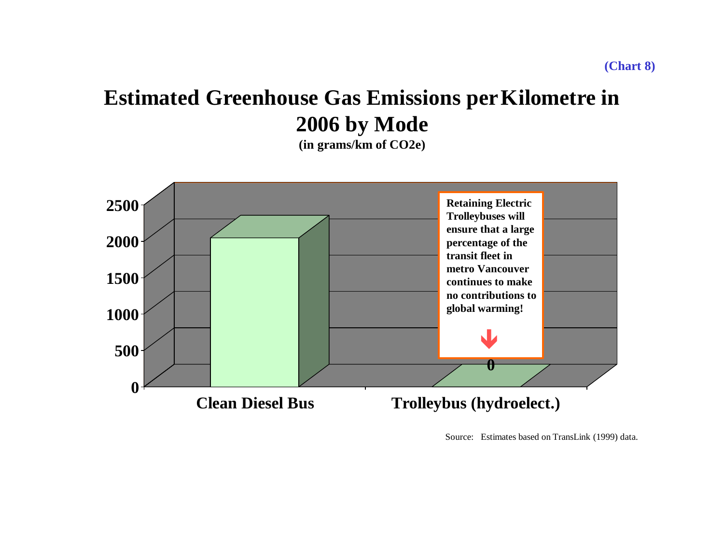## **Estimated Greenhouse Gas Emissions per Kilometre in 2006 by Mode**

**(in grams/km of CO2e)**



Source: Estimates based on TransLink (1999) data.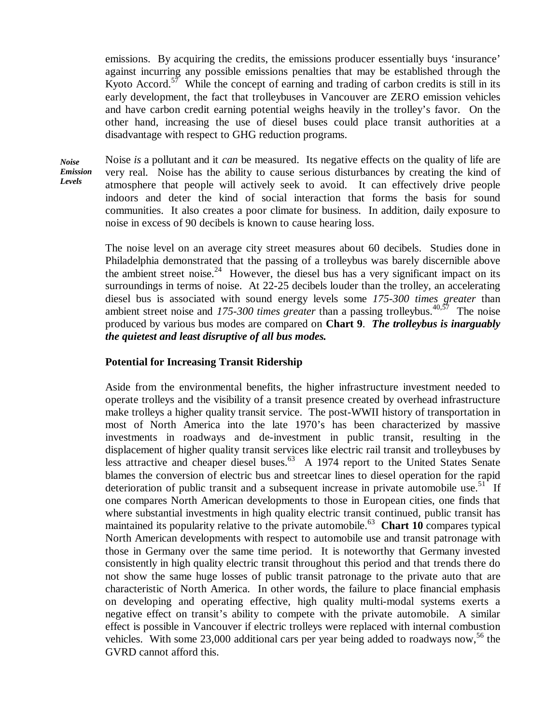emissions. By acquiring the credits, the emissions producer essentially buys 'insurance' against incurring any possible emissions penalties that may be established through the Kyoto Accord.<sup>57</sup> While the concept of earning and trading of carbon credits is still in its early development, the fact that trolleybuses in Vancouver are ZERO emission vehicles and have carbon credit earning potential weighs heavily in the trolley's favor. On the other hand, increasing the use of diesel buses could place transit authorities at a disadvantage with respect to GHG reduction programs.

*Noise Emission Levels*

Noise *is* a pollutant and it *can* be measured. Its negative effects on the quality of life are very real. Noise has the ability to cause serious disturbances by creating the kind of atmosphere that people will actively seek to avoid. It can effectively drive people indoors and deter the kind of social interaction that forms the basis for sound communities. It also creates a poor climate for business. In addition, daily exposure to noise in excess of 90 decibels is known to cause hearing loss.

The noise level on an average city street measures about 60 decibels. Studies done in Philadelphia demonstrated that the passing of a trolleybus was barely discernible above the ambient street noise.<sup>24</sup> However, the diesel bus has a very significant impact on its surroundings in terms of noise. At 22-25 decibels louder than the trolley, an accelerating diesel bus is associated with sound energy levels some *175-300 times greater* than ambient street noise and  $175-300$  times greater than a passing trolleybus.<sup>40,57</sup> The noise produced by various bus modes are compared on **Chart 9**. *The trolleybus is inarguably the quietest and least disruptive of all bus modes.*

#### **Potential for Increasing Transit Ridership**

Aside from the environmental benefits, the higher infrastructure investment needed to operate trolleys and the visibility of a transit presence created by overhead infrastructure make trolleys a higher quality transit service. The post-WWII history of transportation in most of North America into the late 1970's has been characterized by massive investments in roadways and de-investment in public transit, resulting in the displacement of higher quality transit services like electric rail transit and trolleybuses by less attractive and cheaper diesel buses.<sup>63</sup> A 1974 report to the United States Senate blames the conversion of electric bus and streetcar lines to diesel operation for the rapid deterioration of public transit and a subsequent increase in private automobile use.<sup>51</sup> If one compares North American developments to those in European cities, one finds that where substantial investments in high quality electric transit continued, public transit has maintained its popularity relative to the private automobile.<sup>63</sup> Chart 10 compares typical North American developments with respect to automobile use and transit patronage with those in Germany over the same time period. It is noteworthy that Germany invested consistently in high quality electric transit throughout this period and that trends there do not show the same huge losses of public transit patronage to the private auto that are characteristic of North America. In other words, the failure to place financial emphasis on developing and operating effective, high quality multi-modal systems exerts a negative effect on transit's ability to compete with the private automobile. A similar effect is possible in Vancouver if electric trolleys were replaced with internal combustion vehicles. With some 23,000 additional cars per year being added to roadways now,<sup>56</sup> the GVRD cannot afford this.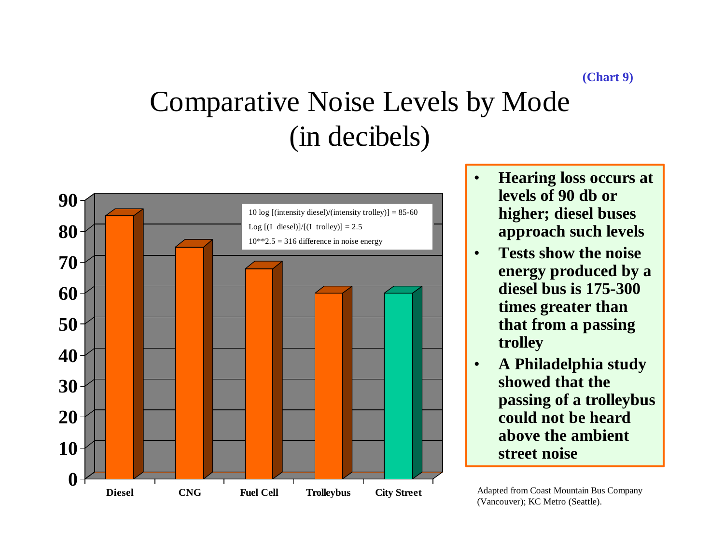# Comparative Noise Levels by Mode (in decibels)



- **Hearing loss occurs at levels of 90 db or higher; diesel buses approach such levels**
- **Tests show the noise energy produced by a diesel bus is 175-300 times greater than that from a passing trolley**
- **A Philadelphia study showed that the passing of a trolleybus could not be heard above the ambient street noise**

Adapted from Coast Mountain Bus Company (Vancouver); KC Metro (Seattle).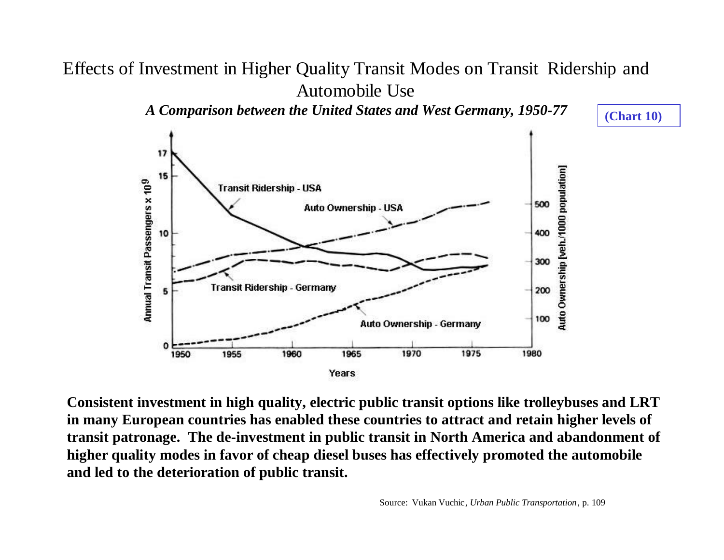## Effects of Investment in Higher Quality Transit Modes on Transit Ridership and Automobile Use

*A Comparison between the United States and West Germany, 1950-77*

**(Chart 10)**



**Consistent investment in high quality, electric public transit options like trolleybuses and LRT in many European countries has enabled these countries to attract and retain higher levels of transit patronage. The de-investment in public transit in North America and abandonment of higher quality modes in favor of cheap diesel buses has effectively promoted the automobile and led to the deterioration of public transit.**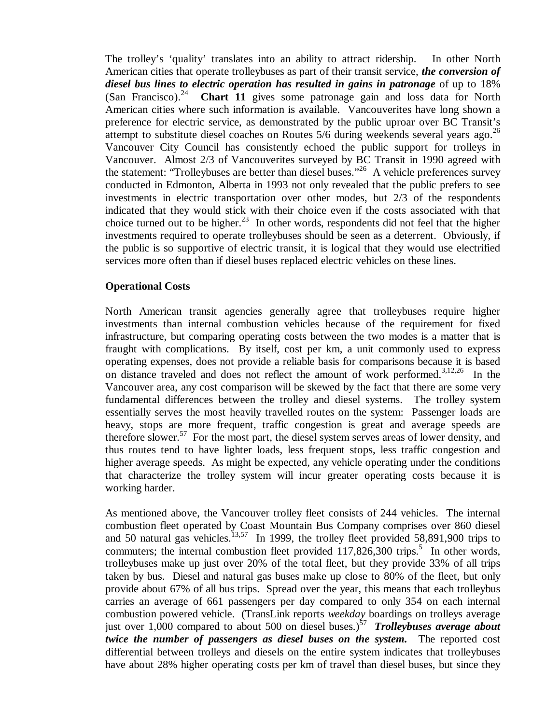The trolley's 'quality' translates into an ability to attract ridership. In other North American cities that operate trolleybuses as part of their transit service, *the conversion of diesel bus lines to electric operation has resulted in gains in patronage* of up to 18% (San Francisco). <sup>24</sup> **Chart 11** gives some patronage gain and loss data for North American cities where such information is available. Vancouverites have long shown a preference for electric service, as demonstrated by the public uproar over BC Transit's attempt to substitute diesel coaches on Routes  $5/6$  during weekends several years ago.<sup>26</sup> Vancouver City Council has consistently echoed the public support for trolleys in Vancouver. Almost 2/3 of Vancouverites surveyed by BC Transit in 1990 agreed with the statement: "Trolleybuses are better than diesel buses."<sup>26</sup> A vehicle preferences survey conducted in Edmonton, Alberta in 1993 not only revealed that the public prefers to see investments in electric transportation over other modes, but 2/3 of the respondents indicated that they would stick with their choice even if the costs associated with that choice turned out to be higher.<sup>23</sup> In other words, respondents did not feel that the higher investments required to operate trolleybuses should be seen as a deterrent. Obviously, if the public is so supportive of electric transit, it is logical that they would use electrified services more often than if diesel buses replaced electric vehicles on these lines.

### **Operational Costs**

North American transit agencies generally agree that trolleybuses require higher investments than internal combustion vehicles because of the requirement for fixed infrastructure, but comparing operating costs between the two modes is a matter that is fraught with complications. By itself, cost per km, a unit commonly used to express operating expenses, does not provide a reliable basis for comparisons because it is based on distance traveled and does not reflect the amount of work performed.<sup>3,12,26</sup> In the Vancouver area, any cost comparison will be skewed by the fact that there are some very fundamental differences between the trolley and diesel systems. The trolley system essentially serves the most heavily travelled routes on the system: Passenger loads are heavy, stops are more frequent, traffic congestion is great and average speeds are therefore slower.<sup>57</sup> For the most part, the diesel system serves areas of lower density, and thus routes tend to have lighter loads, less frequent stops, less traffic congestion and higher average speeds. As might be expected, any vehicle operating under the conditions that characterize the trolley system will incur greater operating costs because it is working harder.

As mentioned above, the Vancouver trolley fleet consists of 244 vehicles. The internal combustion fleet operated by Coast Mountain Bus Company comprises over 860 diesel and 50 natural gas vehicles.<sup>13,57</sup> In 1999, the trolley fleet provided 58,891,900 trips to commuters; the internal combustion fleet provided  $117,826,300$  trips.<sup>5</sup> In other words, trolleybuses make up just over 20% of the total fleet, but they provide 33% of all trips taken by bus. Diesel and natural gas buses make up close to 80% of the fleet, but only provide about 67% of all bus trips. Spread over the year, this means that each trolleybus carries an average of 661 passengers per day compared to only 354 on each internal combustion powered vehicle. (TransLink reports *weekday* boardings on trolleys average just over 1,000 compared to about 500 on diesel buses.)<sup>57</sup> *Trolleybuses average about twice the number of passengers as diesel buses on the system.* The reported cost differential between trolleys and diesels on the entire system indicates that trolleybuses have about 28% higher operating costs per km of travel than diesel buses, but since they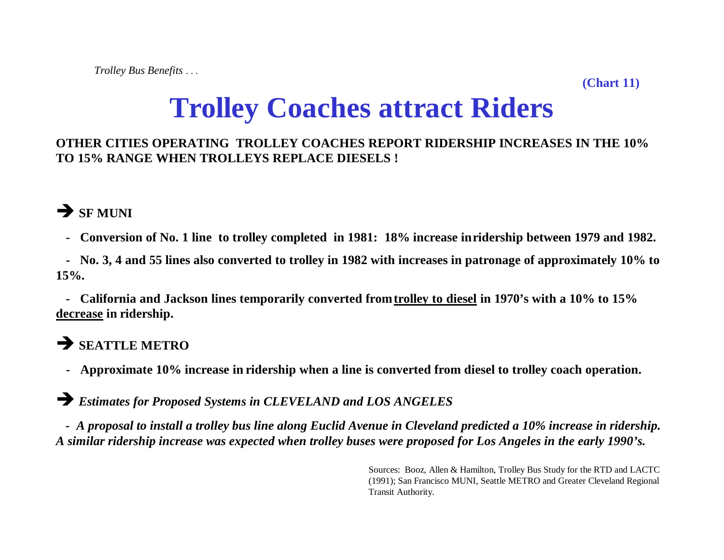**(Chart 11)**

# **Trolley Coaches attract Riders**

## **OTHER CITIES OPERATING TROLLEY COACHES REPORT RIDERSHIP INCREASES IN THE 10% TO 15% RANGE WHEN TROLLEYS REPLACE DIESELS !**

## **Ë SF MUNI**

 **- Conversion of No. 1 line to trolley completed in 1981: 18% increase in ridership between 1979 and 1982.**

 **- No. 3, 4 and 55 lines also converted to trolley in 1982 with increases in patronage of approximately 10% to 15%.**

 **- California and Jackson lines temporarily converted from trolley to diesel in 1970's with a 10% to 15% decrease in ridership.**

## **Ë SEATTLE METRO**

 **- Approximate 10% increase in ridership when a line is converted from diesel to trolley coach operation.**

**Ë** *Estimates for Proposed Systems in CLEVELAND and LOS ANGELES*

 *- A proposal to install a trolley bus line along Euclid Avenue in Cleveland predicted a 10% increase in ridership. A similar ridership increase was expected when trolley buses were proposed for Los Angeles in the early 1990's.*

> Sources: Booz, Allen & Hamilton, Trolley Bus Study for the RTD and LACTC (1991); San Francisco MUNI, Seattle METRO and Greater Cleveland Regional Transit Authority.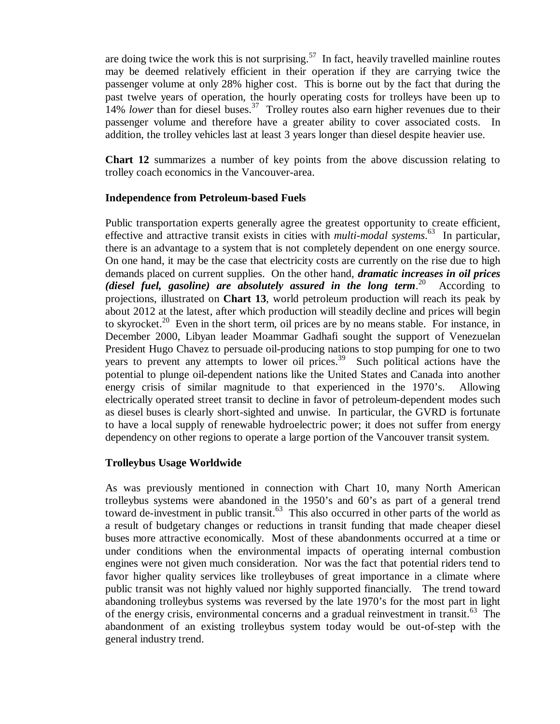are doing twice the work this is not surprising.<sup>57</sup> In fact, heavily travelled mainline routes may be deemed relatively efficient in their operation if they are carrying twice the passenger volume at only 28% higher cost. This is borne out by the fact that during the past twelve years of operation, the hourly operating costs for trolleys have been up to 14% *lower* than for diesel buses.<sup>37</sup> Trolley routes also earn higher revenues due to their passenger volume and therefore have a greater ability to cover associated costs. In addition, the trolley vehicles last at least 3 years longer than diesel despite heavier use.

**Chart 12** summarizes a number of key points from the above discussion relating to trolley coach economics in the Vancouver-area.

### **Independence from Petroleum-based Fuels**

Public transportation experts generally agree the greatest opportunity to create efficient, effective and attractive transit exists in cities with *multi-modal systems*. <sup>63</sup> In particular, there is an advantage to a system that is not completely dependent on one energy source. On one hand, it may be the case that electricity costs are currently on the rise due to high demands placed on current supplies. On the other hand, *dramatic increases in oil prices (diesel fuel, gasoline) are absolutely assured in the long term*. <sup>20</sup> According to projections, illustrated on **Chart 13**, world petroleum production will reach its peak by about 2012 at the latest, after which production will steadily decline and prices will begin to skyrocket.<sup>20</sup> Even in the short term, oil prices are by no means stable. For instance, in December 2000, Libyan leader Moammar Gadhafi sought the support of Venezuelan President Hugo Chavez to persuade oil-producing nations to stop pumping for one to two years to prevent any attempts to lower oil prices.<sup>39</sup> Such political actions have the potential to plunge oil-dependent nations like the United States and Canada into another energy crisis of similar magnitude to that experienced in the 1970's. Allowing electrically operated street transit to decline in favor of petroleum-dependent modes such as diesel buses is clearly short-sighted and unwise. In particular, the GVRD is fortunate to have a local supply of renewable hydroelectric power; it does not suffer from energy dependency on other regions to operate a large portion of the Vancouver transit system.

### **Trolleybus Usage Worldwide**

As was previously mentioned in connection with Chart 10, many North American trolleybus systems were abandoned in the 1950's and 60's as part of a general trend toward de-investment in public transit.<sup>63</sup> This also occurred in other parts of the world as a result of budgetary changes or reductions in transit funding that made cheaper diesel buses more attractive economically. Most of these abandonments occurred at a time or under conditions when the environmental impacts of operating internal combustion engines were not given much consideration. Nor was the fact that potential riders tend to favor higher quality services like trolleybuses of great importance in a climate where public transit was not highly valued nor highly supported financially. The trend toward abandoning trolleybus systems was reversed by the late 1970's for the most part in light of the energy crisis, environmental concerns and a gradual reinvestment in transit.<sup>63</sup> The abandonment of an existing trolleybus system today would be out-of-step with the general industry trend.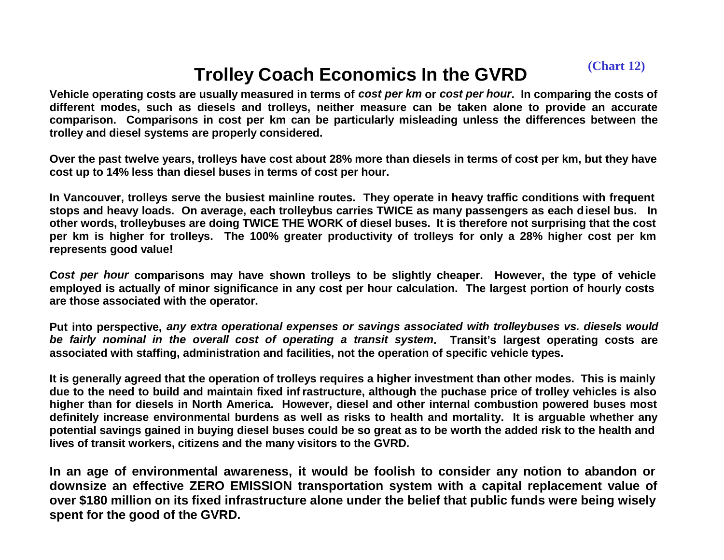**(Chart 12)**

## **Trolley Coach Economics In the GVRD**

**Vehicle operating costs are usually measured in terms of** *cost per km* **or** *cost per hour***. In comparing the costs of different modes, such as diesels and trolleys, neither measure can be taken alone to provide an accurate comparison. Comparisons in cost per km can be particularly misleading unless the differences between the trolley and diesel systems are properly considered.**

**Over the past twelve years, trolleys have cost about 28% more than diesels in terms of cost per km, but they have cost up to 14% less than diesel buses in terms of cost per hour.** 

**In Vancouver, trolleys serve the busiest mainline routes. They operate in heavy traffic conditions with frequent stops and heavy loads. On average, each trolleybus carries TWICE as many passengers as each diesel bus. In other words, trolleybuses are doing TWICE THE WORK of diesel buses. It is therefore not surprising that the cost per km is higher for trolleys. The 100% greater productivity of trolleys for only a 28% higher cost per km represents good value!**

**C***ost per hour* **comparisons may have shown trolleys to be slightly cheaper. However, the type of vehicle employed is actually of minor significance in any cost per hour calculation. The largest portion of hourly costs are those associated with the operator.**

**Put into perspective,** *any extra operational expenses or savings associated with trolleybuses vs. diesels would be fairly nominal in the overall cost of operating a transit system***. Transit's largest operating costs are associated with staffing, administration and facilities, not the operation of specific vehicle types.**

**It is generally agreed that the operation of trolleys requires a higher investment than other modes. This is mainly due to the need to build and maintain fixed infrastructure, although the puchase price of trolley vehicles is also higher than for diesels in North America. However, diesel and other internal combustion powered buses most definitely increase environmental burdens as well as risks to health and mortality. It is arguable whether any potential savings gained in buying diesel buses could be so great as to be worth the added risk to the health and lives of transit workers, citizens and the many visitors to the GVRD.** 

**In an age of environmental awareness, it would be foolish to consider any notion to abandon or downsize an effective ZERO EMISSION transportation system with a capital replacement value of over \$180 million on its fixed infrastructure alone under the belief that public funds were being wisely spent for the good of the GVRD.**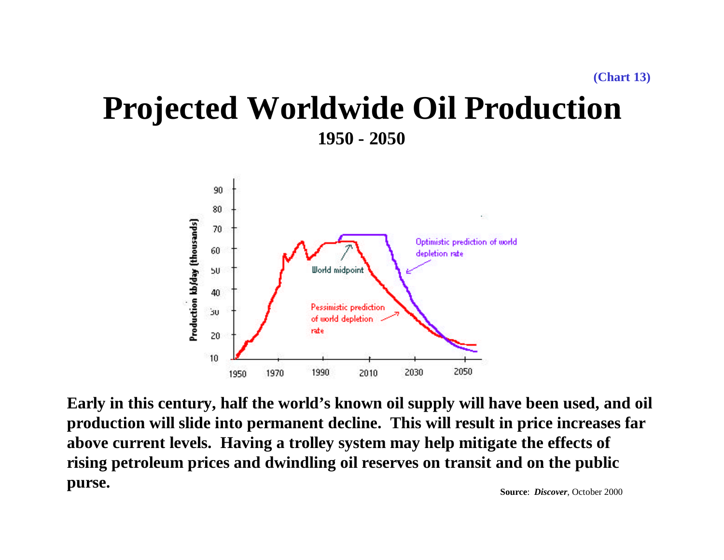## **Projected Worldwide Oil Production 1950 - 2050**



**Early in this century, half the world's known oil supply will have been used, and oil production will slide into permanent decline. This will result in price increases far above current levels. Having a trolley system may help mitigate the effects of rising petroleum prices and dwindling oil reserves on transit and on the public purse. Source**: *Discover*, October 2000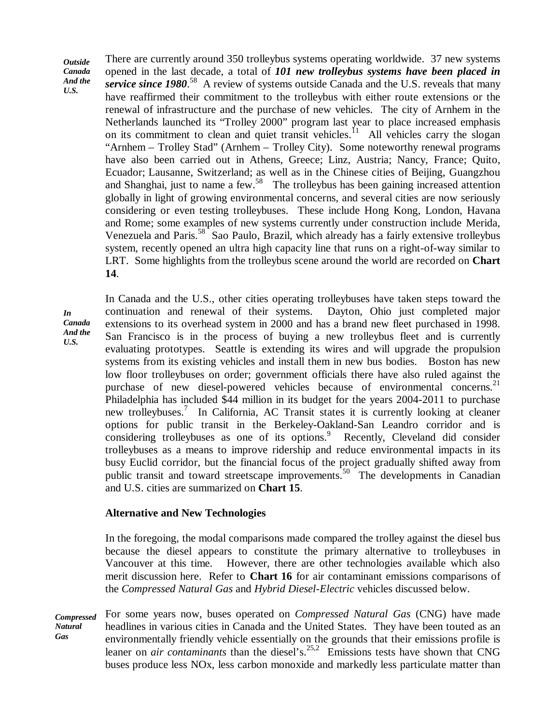*Outside Canada And the U.S.*

There are currently around 350 trolleybus systems operating worldwide. 37 new systems opened in the last decade, a total of *101 new trolleybus systems have been placed in* service since 1980.<sup>58</sup> A review of systems outside Canada and the U.S. reveals that many have reaffirmed their commitment to the trolleybus with either route extensions or the renewal of infrastructure and the purchase of new vehicles. The city of Arnhem in the Netherlands launched its "Trolley 2000" program last year to place increased emphasis on its commitment to clean and quiet transit vehicles.<sup>11</sup> All vehicles carry the slogan "Arnhem – Trolley Stad" (Arnhem – Trolley City). Some noteworthy renewal programs have also been carried out in Athens, Greece; Linz, Austria; Nancy, France; Quito, Ecuador; Lausanne, Switzerland; as well as in the Chinese cities of Beijing, Guangzhou and Shanghai, just to name a few.<sup>58</sup> The trolleybus has been gaining increased attention globally in light of growing environmental concerns, and several cities are now seriously considering or even testing trolleybuses. These include Hong Kong, London, Havana and Rome; some examples of new systems currently under construction include Merida, Venezuela and Paris.<sup>58</sup> Sao Paulo, Brazil, which already has a fairly extensive trolleybus system, recently opened an ultra high capacity line that runs on a right-of-way similar to LRT. Some highlights from the trolleybus scene around the world are recorded on **Chart 14**.

*In Canada And the U.S.*

In Canada and the U.S., other cities operating trolleybuses have taken steps toward the continuation and renewal of their systems. Dayton, Ohio just completed major extensions to its overhead system in 2000 and has a brand new fleet purchased in 1998. San Francisco is in the process of buying a new trolleybus fleet and is currently evaluating prototypes. Seattle is extending its wires and will upgrade the propulsion systems from its existing vehicles and install them in new bus bodies. Boston has new low floor trolleybuses on order; government officials there have also ruled against the purchase of new diesel-powered vehicles because of environmental concerns.<sup>21</sup> Philadelphia has included \$44 million in its budget for the years 2004-2011 to purchase new trolleybuses.<sup>7</sup> In California, AC Transit states it is currently looking at cleaner options for public transit in the Berkeley-Oakland-San Leandro corridor and is considering trolleybuses as one of its options.<sup>9</sup> Recently, Cleveland did consider trolleybuses as a means to improve ridership and reduce environmental impacts in its busy Euclid corridor, but the financial focus of the project gradually shifted away from public transit and toward streetscape improvements.<sup>50</sup> The developments in Canadian and U.S. cities are summarized on **Chart 15**.

#### **Alternative and New Technologies**

In the foregoing, the modal comparisons made compared the trolley against the diesel bus because the diesel appears to constitute the primary alternative to trolleybuses in Vancouver at this time. However, there are other technologies available which also merit discussion here. Refer to **Chart 16** for air contaminant emissions comparisons of the *Compressed Natural Gas* and *Hybrid Diesel-Electric* vehicles discussed below.

*Compressed Natural Gas* For some years now, buses operated on *Compressed Natural Gas* (CNG) have made headlines in various cities in Canada and the United States. They have been touted as an environmentally friendly vehicle essentially on the grounds that their emissions profile is leaner on *air contaminants* than the diesel's. 25,2 Emissions tests have shown that CNG buses produce less NOx, less carbon monoxide and markedly less particulate matter than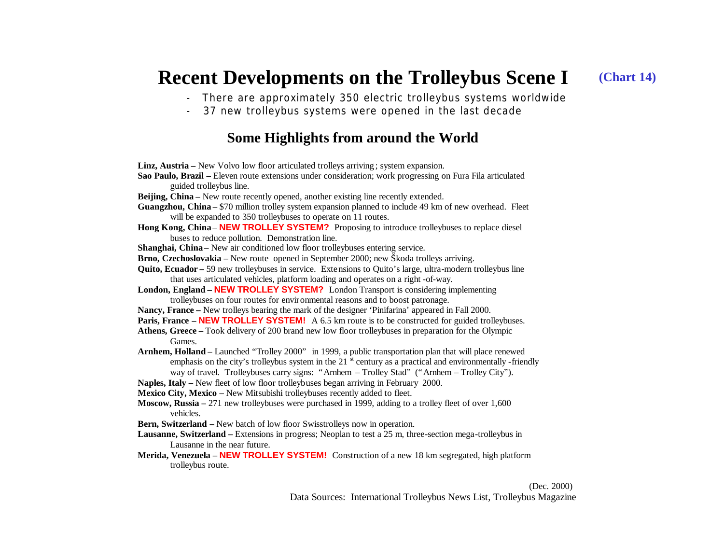#### **Recent Developments on the Trolleybus Scene I (Chart 14)**

- There are approximately 350 electric trolleybus systems worldwide
- 37 new trolleybus systems were opened in the last decade

### **Some Highlights from around the World**

| Linz, Austria – New Volvo low floor articulated trolleys arriving; system expansion.                                  |
|-----------------------------------------------------------------------------------------------------------------------|
| Sao Paulo, Brazil - Eleven route extensions under consideration; work progressing on Fura Fila articulated            |
| guided trolleybus line.                                                                                               |
| Beijing, China - New route recently opened, another existing line recently extended.                                  |
| Guangzhou, China – \$70 million trolley system expansion planned to include 49 km of new overhead. Fleet              |
| will be expanded to 350 trolleybuses to operate on 11 routes.                                                         |
| Hong Kong, China – NEW TROLLEY SYSTEM? Proposing to introduce trolleybuses to replace diesel                          |
| buses to reduce pollution. Demonstration line.                                                                        |
| Shanghai, China - New air conditioned low floor trolleybuses entering service.                                        |
| Brno, Czechoslovakia – New route opened in September 2000; new Škoda trolleys arriving.                               |
| Quito, Ecuador – 59 new trolleybuses in service. Extensions to Quito's large, ultra-modern trolleybus line            |
| that uses articulated vehicles, platform loading and operates on a right-of-way.                                      |
| London, England - NEW TROLLEY SYSTEM? London Transport is considering implementing                                    |
| trolleybuses on four routes for environmental reasons and to boost patronage.                                         |
| Nancy, France – New trolleys bearing the mark of the designer 'Pinifarina' appeared in Fall 2000.                     |
| Paris, France – NEW TROLLEY SYSTEM! A 6.5 km route is to be constructed for guided trolleybuses.                      |
| Athens, Greece – Took delivery of 200 brand new low floor trolleybuses in preparation for the Olympic                 |
| Games.                                                                                                                |
| Arnhem, Holland – Launched "Trolley 2000" in 1999, a public transportation plan that will place renewed               |
| emphasis on the city's trolleybus system in the 21 <sup>st</sup> century as a practical and environmentally -friendly |
| way of travel. Trolleybuses carry signs: "Arnhem - Trolley Stad" ("Arnhem - Trolley City").                           |
| Naples, Italy - New fleet of low floor trolleybuses began arriving in February 2000.                                  |
| Mexico City, Mexico - New Mitsubishi trolleybuses recently added to fleet.                                            |
| Moscow, Russia $-271$ new trolleybuses were purchased in 1999, adding to a trolley fleet of over 1,600                |
| vehicles.                                                                                                             |
| Bern, Switzerland - New batch of low floor Swisstrolleys now in operation.                                            |
| Lausanne, Switzerland – Extensions in progress; Neoplan to test a 25 m, three-section mega-trolleybus in              |
| Lausanne in the near future.                                                                                          |
| Merida, Venezuela - NEW TROLLEY SYSTEM! Construction of a new 18 km segregated, high platform                         |
| trolleybus route.                                                                                                     |

 (Dec. 2000) Data Sources: International Trolleybus News List, Trolleybus Magazine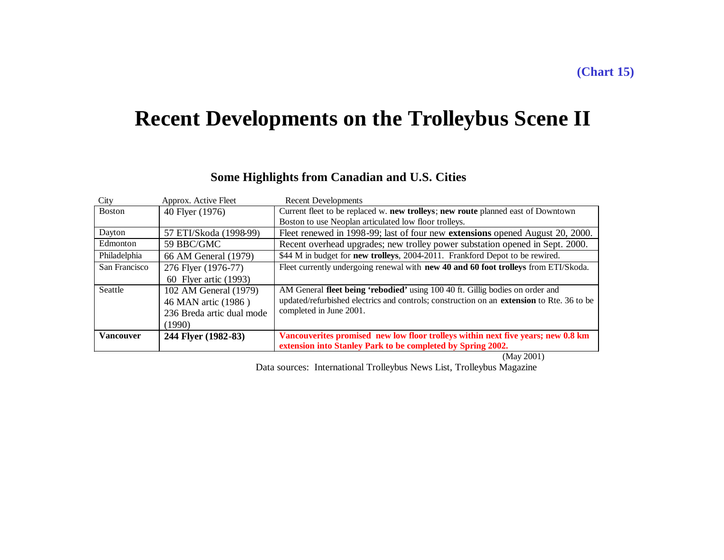## **Recent Developments on the Trolleybus Scene II**

#### City Approx. Active Fleet Recent Developments Boston 40 Flyer (1976) Current fleet to be replaced w. **new trolleys**; **new route** planned east of Downtown Boston to use Neoplan articulated low floor trolleys. Dayton 57 ETI/Skoda (1998-99) Fleet renewed in 1998-99; last of four new **extensions** opened August 20, 2000. Edmonton 59 BBC/GMC Recent overhead upgrades; new trolley power substation opened in Sept. 2000. Philadelphia 66 AM General (1979)  $\frac{1}{44}$  M in budget for **new trolleys**, 2004-2011. Frankford Depot to be rewired. San Francisco | 276 Flyer (1976-77) 60 Flyer artic (1993) Fleet currently undergoing renewal with **new 40 and 60 foot trolleys** from ETI/Skoda. Seattle 102 AM General (1979) 46 MAN artic (1986 ) 236 Breda artic dual mode (1990) AM General **fleet being 'rebodied'** using 100 40 ft. Gillig bodies on order and updated/refurbished electrics and controls; construction on an **extension** to Rte. 36 to be completed in June 2001. **Vancouver 244 Flyer (1982-83) Vancouverites promised new low floor trolleys within next five years; new 0.8 km extension into Stanley Park to be completed by Spring 2002.**

### **Some Highlights from Canadian and U.S. Cities**

(May 2001)

Data sources: International Trolleybus News List, Trolleybus Magazine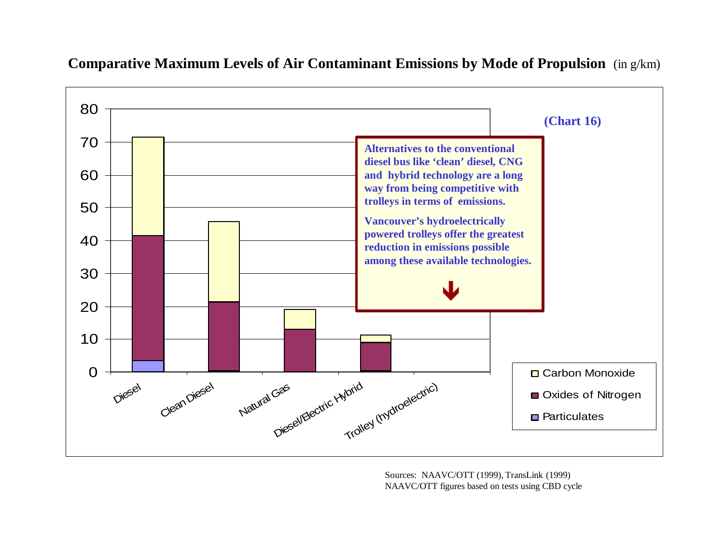

**Comparative Maximum Levels of Air Contaminant Emissions by Mode of Propulsion** (in g/km)

Sources: NAAVC/OTT (1999), TransLink (1999) NAAVC/OTT figures based on tests using CBD cycle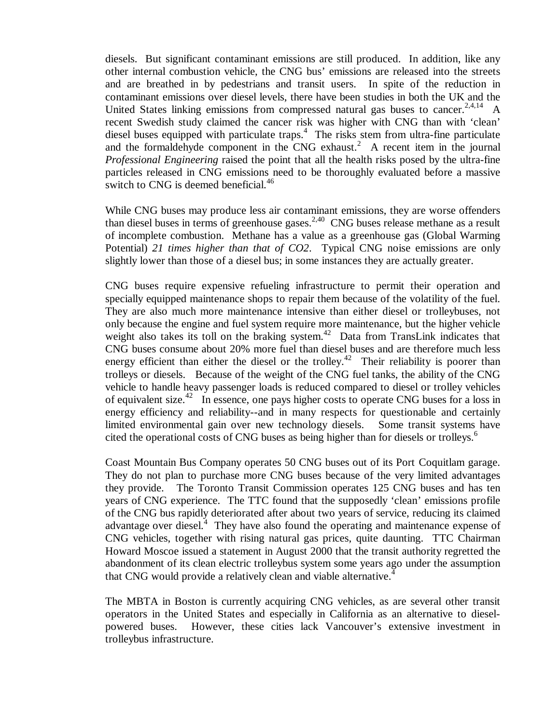diesels. But significant contaminant emissions are still produced. In addition, like any other internal combustion vehicle, the CNG bus' emissions are released into the streets and are breathed in by pedestrians and transit users. In spite of the reduction in contaminant emissions over diesel levels, there have been studies in both the UK and the United States linking emissions from compressed natural gas buses to cancer.<sup>2,4,14</sup> A recent Swedish study claimed the cancer risk was higher with CNG than with 'clean' diesel buses equipped with particulate traps. $4$  The risks stem from ultra-fine particulate and the formaldehyde component in the CNG exhaust.<sup>2</sup> A recent item in the journal *Professional Engineering* raised the point that all the health risks posed by the ultra-fine particles released in CNG emissions need to be thoroughly evaluated before a massive switch to CNG is deemed beneficial.<sup>46</sup>

While CNG buses may produce less air contaminant emissions, they are worse offenders than diesel buses in terms of greenhouse gases.<sup>2,40</sup> CNG buses release methane as a result of incomplete combustion. Methane has a value as a greenhouse gas (Global Warming Potential) *21 times higher than that of CO2*. Typical CNG noise emissions are only slightly lower than those of a diesel bus; in some instances they are actually greater.

CNG buses require expensive refueling infrastructure to permit their operation and specially equipped maintenance shops to repair them because of the volatility of the fuel. They are also much more maintenance intensive than either diesel or trolleybuses, not only because the engine and fuel system require more maintenance, but the higher vehicle weight also takes its toll on the braking system.<sup>42</sup> Data from TransLink indicates that CNG buses consume about 20% more fuel than diesel buses and are therefore much less energy efficient than either the diesel or the trolley.<sup>42</sup> Their reliability is poorer than trolleys or diesels. Because of the weight of the CNG fuel tanks, the ability of the CNG vehicle to handle heavy passenger loads is reduced compared to diesel or trolley vehicles of equivalent size.<sup>42</sup> In essence, one pays higher costs to operate CNG buses for a loss in energy efficiency and reliability--and in many respects for questionable and certainly limited environmental gain over new technology diesels. Some transit systems have cited the operational costs of CNG buses as being higher than for diesels or trolleys.<sup>6</sup>

Coast Mountain Bus Company operates 50 CNG buses out of its Port Coquitlam garage. They do not plan to purchase more CNG buses because of the very limited advantages they provide. The Toronto Transit Commission operates 125 CNG buses and has ten years of CNG experience. The TTC found that the supposedly 'clean' emissions profile of the CNG bus rapidly deteriorated after about two years of service, reducing its claimed advantage over diesel. $4$  They have also found the operating and maintenance expense of CNG vehicles, together with rising natural gas prices, quite daunting. TTC Chairman Howard Moscoe issued a statement in August 2000 that the transit authority regretted the abandonment of its clean electric trolleybus system some years ago under the assumption that CNG would provide a relatively clean and viable alternative.<sup>4</sup>

The MBTA in Boston is currently acquiring CNG vehicles, as are several other transit operators in the United States and especially in California as an alternative to dieselpowered buses. However, these cities lack Vancouver's extensive investment in trolleybus infrastructure.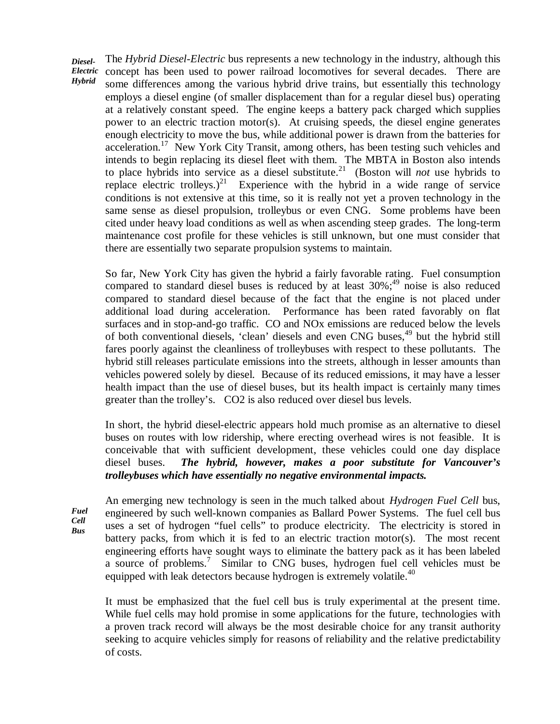*Diesel-Electric Hybrid* The *Hybrid Diesel-Electric* bus represents a new technology in the industry, although this concept has been used to power railroad locomotives for several decades. There are some differences among the various hybrid drive trains, but essentially this technology employs a diesel engine (of smaller displacement than for a regular diesel bus) operating at a relatively constant speed. The engine keeps a battery pack charged which supplies power to an electric traction motor(s). At cruising speeds, the diesel engine generates enough electricity to move the bus, while additional power is drawn from the batteries for acceleration.<sup>17</sup> New York City Transit, among others, has been testing such vehicles and intends to begin replacing its diesel fleet with them. The MBTA in Boston also intends to place hybrids into service as a diesel substitute.<sup>21</sup> (Boston will *not* use hybrids to replace electric trolleys.)<sup>21</sup> Experience with the hybrid in a wide range of service conditions is not extensive at this time, so it is really not yet a proven technology in the same sense as diesel propulsion, trolleybus or even CNG. Some problems have been cited under heavy load conditions as well as when ascending steep grades. The long-term maintenance cost profile for these vehicles is still unknown, but one must consider that there are essentially two separate propulsion systems to maintain.

So far, New York City has given the hybrid a fairly favorable rating. Fuel consumption compared to standard diesel buses is reduced by at least 30%; <sup>49</sup> noise is also reduced compared to standard diesel because of the fact that the engine is not placed under additional load during acceleration. Performance has been rated favorably on flat surfaces and in stop-and-go traffic. CO and NOx emissions are reduced below the levels of both conventional diesels, 'clean' diesels and even CNG buses, <sup>49</sup> but the hybrid still fares poorly against the cleanliness of trolleybuses with respect to these pollutants. The hybrid still releases particulate emissions into the streets, although in lesser amounts than vehicles powered solely by diesel. Because of its reduced emissions, it may have a lesser health impact than the use of diesel buses, but its health impact is certainly many times greater than the trolley's. CO2 is also reduced over diesel bus levels.

In short, the hybrid diesel-electric appears hold much promise as an alternative to diesel buses on routes with low ridership, where erecting overhead wires is not feasible. It is conceivable that with sufficient development, these vehicles could one day displace diesel buses. *The hybrid, however, makes a poor substitute for Vancouver's trolleybuses which have essentially no negative environmental impacts.*

*Fuel Cell Bus*

An emerging new technology is seen in the much talked about *Hydrogen Fuel Cell* bus, engineered by such well-known companies as Ballard Power Systems. The fuel cell bus uses a set of hydrogen "fuel cells" to produce electricity. The electricity is stored in battery packs, from which it is fed to an electric traction motor(s). The most recent engineering efforts have sought ways to eliminate the battery pack as it has been labeled a source of problems.<sup>7</sup> Similar to CNG buses, hydrogen fuel cell vehicles must be equipped with leak detectors because hydrogen is extremely volatile.<sup>40</sup>

It must be emphasized that the fuel cell bus is truly experimental at the present time. While fuel cells may hold promise in some applications for the future, technologies with a proven track record will always be the most desirable choice for any transit authority seeking to acquire vehicles simply for reasons of reliability and the relative predictability of costs.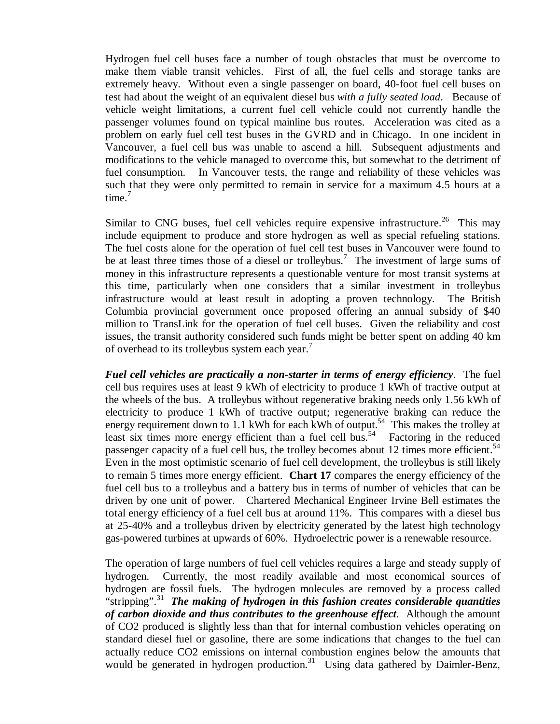Hydrogen fuel cell buses face a number of tough obstacles that must be overcome to make them viable transit vehicles. First of all, the fuel cells and storage tanks are extremely heavy. Without even a single passenger on board, 40-foot fuel cell buses on test had about the weight of an equivalent diesel bus *with a fully seated load*. Because of vehicle weight limitations, a current fuel cell vehicle could not currently handle the passenger volumes found on typical mainline bus routes. Acceleration was cited as a problem on early fuel cell test buses in the GVRD and in Chicago. In one incident in Vancouver, a fuel cell bus was unable to ascend a hill. Subsequent adjustments and modifications to the vehicle managed to overcome this, but somewhat to the detriment of fuel consumption. In Vancouver tests, the range and reliability of these vehicles was such that they were only permitted to remain in service for a maximum 4.5 hours at a time.<sup>7</sup>

Similar to CNG buses, fuel cell vehicles require expensive infrastructure.<sup>26</sup> This may include equipment to produce and store hydrogen as well as special refueling stations. The fuel costs alone for the operation of fuel cell test buses in Vancouver were found to be at least three times those of a diesel or trolleybus.<sup>7</sup> The investment of large sums of money in this infrastructure represents a questionable venture for most transit systems at this time, particularly when one considers that a similar investment in trolleybus infrastructure would at least result in adopting a proven technology. The British Columbia provincial government once proposed offering an annual subsidy of \$40 million to TransLink for the operation of fuel cell buses. Given the reliability and cost issues, the transit authority considered such funds might be better spent on adding 40 km of overhead to its trolleybus system each year.

*Fuel cell vehicles are practically a non-starter in terms of energy efficiency*. The fuel cell bus requires uses at least 9 kWh of electricity to produce 1 kWh of tractive output at the wheels of the bus. A trolleybus without regenerative braking needs only 1.56 kWh of electricity to produce 1 kWh of tractive output; regenerative braking can reduce the energy requirement down to 1.1 kWh for each kWh of output.<sup>54</sup> This makes the trolley at least six times more energy efficient than a fuel cell bus.<sup>54</sup> Factoring in the reduced passenger capacity of a fuel cell bus, the trolley becomes about 12 times more efficient.<sup>54</sup> Even in the most optimistic scenario of fuel cell development, the trolleybus is still likely to remain 5 times more energy efficient. **Chart 17** compares the energy efficiency of the fuel cell bus to a trolleybus and a battery bus in terms of number of vehicles that can be driven by one unit of power. Chartered Mechanical Engineer Irvine Bell estimates the total energy efficiency of a fuel cell bus at around 11%. This compares with a diesel bus at 25-40% and a trolleybus driven by electricity generated by the latest high technology gas-powered turbines at upwards of 60%. Hydroelectric power is a renewable resource.

The operation of large numbers of fuel cell vehicles requires a large and steady supply of hydrogen. Currently, the most readily available and most economical sources of hydrogen are fossil fuels. The hydrogen molecules are removed by a process called "stripping". 31 *The making of hydrogen in this fashion creates considerable quantities of carbon dioxide and thus contributes to the greenhouse effect*. Although the amount of CO2 produced is slightly less than that for internal combustion vehicles operating on standard diesel fuel or gasoline, there are some indications that changes to the fuel can actually reduce CO2 emissions on internal combustion engines below the amounts that would be generated in hydrogen production.<sup>31</sup> Using data gathered by Daimler-Benz,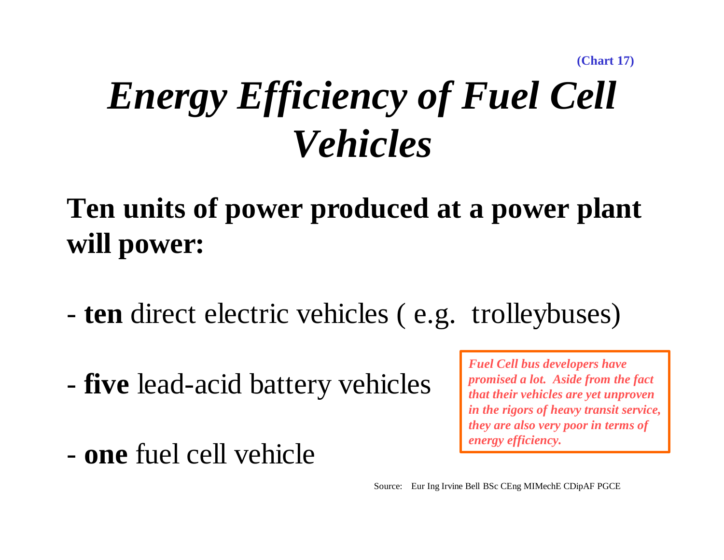**(Chart 17)**

# *Energy Efficiency of Fuel Cell Vehicles*

# **Ten units of power produced at a power plant will power:**

- **ten** direct electric vehicles ( e.g. trolleybuses)
- **five** lead-acid battery vehicles
- **one** fuel cell vehicle

*Fuel Cell bus developers have promised a lot. Aside from the fact that their vehicles are yet unproven in the rigors of heavy transit service, they are also very poor in terms of energy efficiency.*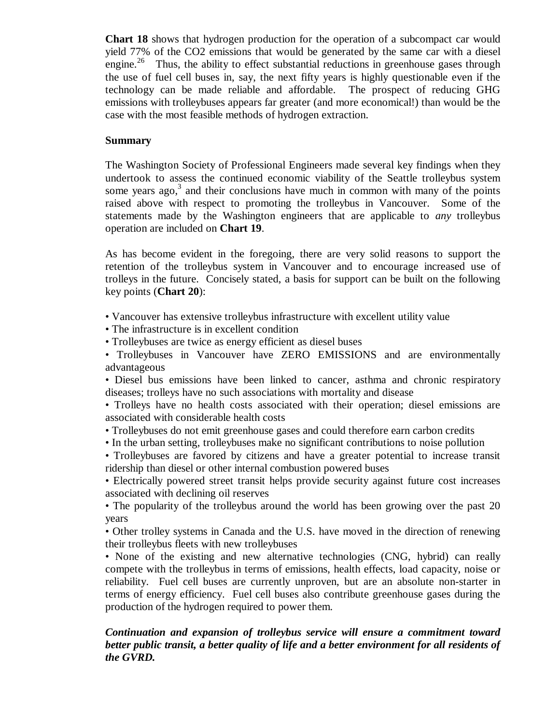**Chart 18** shows that hydrogen production for the operation of a subcompact car would yield 77% of the CO2 emissions that would be generated by the same car with a diesel engine.<sup>26</sup> Thus, the ability to effect substantial reductions in greenhouse gases through the use of fuel cell buses in, say, the next fifty years is highly questionable even if the technology can be made reliable and affordable. The prospect of reducing GHG emissions with trolleybuses appears far greater (and more economical!) than would be the case with the most feasible methods of hydrogen extraction.

### **Summary**

The Washington Society of Professional Engineers made several key findings when they undertook to assess the continued economic viability of the Seattle trolleybus system some years ago,<sup>3</sup> and their conclusions have much in common with many of the points raised above with respect to promoting the trolleybus in Vancouver. Some of the statements made by the Washington engineers that are applicable to *any* trolleybus operation are included on **Chart 19**.

As has become evident in the foregoing, there are very solid reasons to support the retention of the trolleybus system in Vancouver and to encourage increased use of trolleys in the future. Concisely stated, a basis for support can be built on the following key points (**Chart 20**):

• Vancouver has extensive trolleybus infrastructure with excellent utility value

- The infrastructure is in excellent condition
- Trolleybuses are twice as energy efficient as diesel buses
- Trolleybuses in Vancouver have ZERO EMISSIONS and are environmentally advantageous

• Diesel bus emissions have been linked to cancer, asthma and chronic respiratory diseases; trolleys have no such associations with mortality and disease

• Trolleys have no health costs associated with their operation; diesel emissions are associated with considerable health costs

• Trolleybuses do not emit greenhouse gases and could therefore earn carbon credits

• In the urban setting, trolleybuses make no significant contributions to noise pollution

• Trolleybuses are favored by citizens and have a greater potential to increase transit ridership than diesel or other internal combustion powered buses

• Electrically powered street transit helps provide security against future cost increases associated with declining oil reserves

• The popularity of the trolleybus around the world has been growing over the past 20 years

• Other trolley systems in Canada and the U.S. have moved in the direction of renewing their trolleybus fleets with new trolleybuses

• None of the existing and new alternative technologies (CNG, hybrid) can really compete with the trolleybus in terms of emissions, health effects, load capacity, noise or reliability. Fuel cell buses are currently unproven, but are an absolute non-starter in terms of energy efficiency. Fuel cell buses also contribute greenhouse gases during the production of the hydrogen required to power them.

### *Continuation and expansion of trolleybus service will ensure a commitment toward better public transit, a better quality of life and a better environment for all residents of the GVRD.*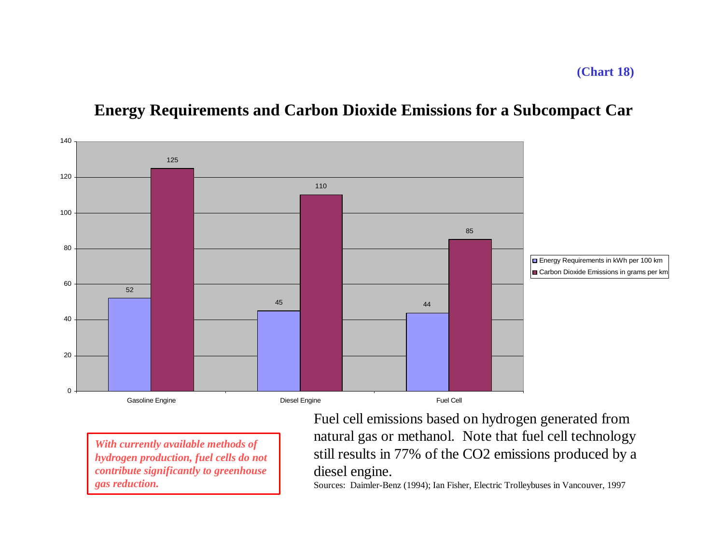## **Energy Requirements and Carbon Dioxide Emissions for a Subcompact Car**



*With currently available methods of hydrogen production, fuel cells do not contribute significantly to greenhouse gas reduction.*

Fuel cell emissions based on hydrogen generated from natural gas or methanol. Note that fuel cell technology still results in 77% of the CO2 emissions produced by a diesel engine.

Sources: Daimler-Benz (1994); Ian Fisher, Electric Trolleybuses in Vancouver, 1997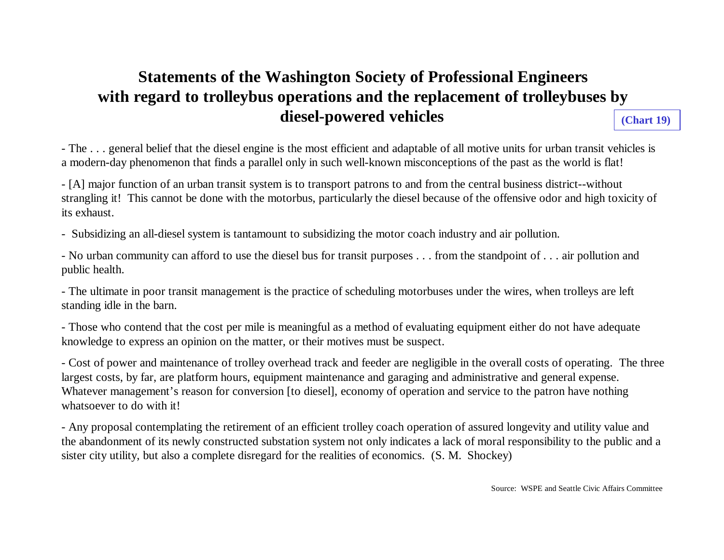## **Statements of the Washington Society of Professional Engineers with regard to trolleybus operations and the replacement of trolleybuses by diesel-powered vehicles**

**(Chart 19)**

- The . . . general belief that the diesel engine is the most efficient and adaptable of all motive units for urban transit vehicles is a modern-day phenomenon that finds a parallel only in such well-known misconceptions of the past as the world is flat!

- [A] major function of an urban transit system is to transport patrons to and from the central business district--without strangling it! This cannot be done with the motorbus, particularly the diesel because of the offensive odor and high toxicity of its exhaust.

- Subsidizing an all-diesel system is tantamount to subsidizing the motor coach industry and air pollution.

- No urban community can afford to use the diesel bus for transit purposes . . . from the standpoint of . . . air pollution and public health.

- The ultimate in poor transit management is the practice of scheduling motorbuses under the wires, when trolleys are left standing idle in the barn.

- Those who contend that the cost per mile is meaningful as a method of evaluating equipment either do not have adequate knowledge to express an opinion on the matter, or their motives must be suspect.

- Cost of power and maintenance of trolley overhead track and feeder are negligible in the overall costs of operating. The three largest costs, by far, are platform hours, equipment maintenance and garaging and administrative and general expense. Whatever management's reason for conversion [to diesel], economy of operation and service to the patron have nothing whatsoever to do with it!

- Any proposal contemplating the retirement of an efficient trolley coach operation of assured longevity and utility value and the abandonment of its newly constructed substation system not only indicates a lack of moral responsibility to the public and a sister city utility, but also a complete disregard for the realities of economics. (S. M. Shockey)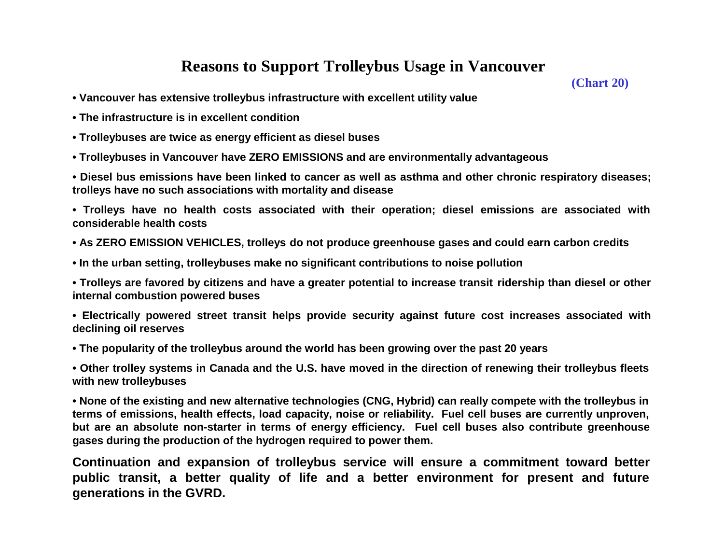## **Reasons to Support Trolleybus Usage in Vancouver**

**(Chart 20)**

- **Vancouver has extensive trolleybus infrastructure with excellent utility value**
- **The infrastructure is in excellent condition**
- **Trolleybuses are twice as energy efficient as diesel buses**
- **Trolleybuses in Vancouver have ZERO EMISSIONS and are environmentally advantageous**
- **Diesel bus emissions have been linked to cancer as well as asthma and other chronic respiratory diseases; trolleys have no such associations with mortality and disease**

**• Trolleys have no health costs associated with their operation; diesel emissions are associated with considerable health costs**

- **As ZERO EMISSION VEHICLES, trolleys do not produce greenhouse gases and could earn carbon credits**
- **In the urban setting, trolleybuses make no significant contributions to noise pollution**

**• Trolleys are favored by citizens and have a greater potential to increase transit ridership than diesel or other internal combustion powered buses**

**• Electrically powered street transit helps provide security against future cost increases associated with declining oil reserves**

**• The popularity of the trolleybus around the world has been growing over the past 20 years**

**• Other trolley systems in Canada and the U.S. have moved in the direction of renewing their trolleybus fleets with new trolleybuses**

**• None of the existing and new alternative technologies (CNG, Hybrid) can really compete with the trolleybus in terms of emissions, health effects, load capacity, noise or reliability. Fuel cell buses are currently unproven, but are an absolute non-starter in terms of energy efficiency. Fuel cell buses also contribute greenhouse gases during the production of the hydrogen required to power them.**

**Continuation and expansion of trolleybus service will ensure a commitment toward better public transit, a better quality of life and a better environment for present and future generations in the GVRD.**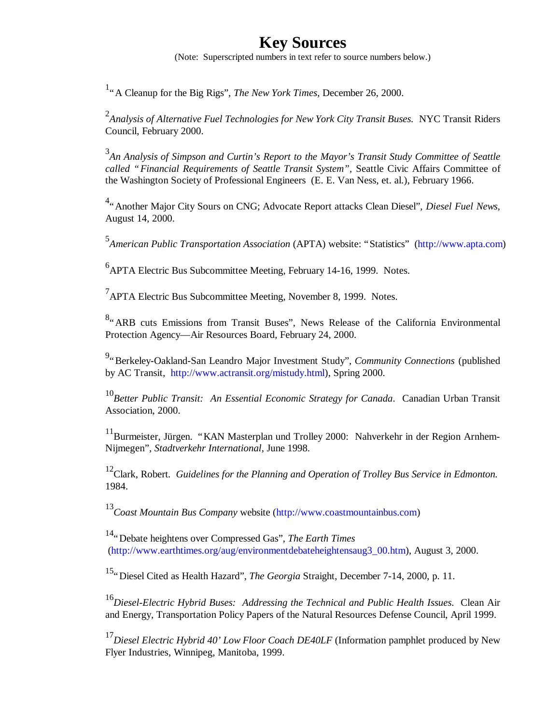### **Key Sources**

(Note: Superscripted numbers in text refer to source numbers below.)

<sup>1</sup>" A Cleanup for the Big Rigs", *The New York Times*, December 26, 2000.

<sup>2</sup> Analysis of Alternative Fuel Technologies for New York City Transit Buses. NYC Transit Riders Council, February 2000.

3 *An Analysis of Simpson and Curtin's Report to the Mayor's Transit Study Committee of Seattle called "Financial Requirements of Seattle Transit System",* Seattle Civic Affairs Committee of the Washington Society of Professional Engineers (E. E. Van Ness, et. al.), February 1966.

4 "Another Major City Sours on CNG; Advocate Report attacks Clean Diesel", *Diesel Fuel News*, August 14, 2000.

5 *American Public Transportation Association* (APTA) website: "Statistics" (http://www.apta.com)

<sup>6</sup> APTA Electric Bus Subcommittee Meeting, February 14-16, 1999. Notes.

 $7$ APTA Electric Bus Subcommittee Meeting, November 8, 1999. Notes.

<sup>8</sup>. ARB cuts Emissions from Transit Buses", News Release of the California Environmental Protection Agency— Air Resources Board, February 24, 2000.

9 "Berkeley-Oakland-San Leandro Major Investment Study"*, Community Connections* (published by AC Transit, http://www.actransit.org/mistudy.html), Spring 2000.

<sup>10</sup>*Better Public Transit: An Essential Economic Strategy for Canada*. Canadian Urban Transit Association, 2000.

<sup>11</sup>Burmeister, Jürgen. "KAN Masterplan und Trolley 2000: Nahverkehr in der Region Arnhem-Nijmegen", *Stadtverkehr International*, June 1998.

<sup>12</sup>Clark, Robert*. Guidelines for the Planning and Operation of Trolley Bus Service in Edmonton.* 1984.

<sup>13</sup>*Coast Mountain Bus Company* website (http://www.coastmountainbus.com)

<sup>14</sup>"Debate heightens over Compressed Gas", *The Earth Times* (http://www.earthtimes.org/aug/environmentdebateheightensaug3\_00.htm), August 3, 2000.

<sup>15</sup>"Diesel Cited as Health Hazard", *The Georgia* Straight, December 7-14, 2000, p. 11.

<sup>16</sup>*Diesel-Electric Hybrid Buses: Addressing the Technical and Public Health Issues*. Clean Air and Energy, Transportation Policy Papers of the Natural Resources Defense Council, April 1999.

<sup>17</sup>Diesel Electric Hybrid 40' Low Floor Coach DE40LF (Information pamphlet produced by New Flyer Industries, Winnipeg, Manitoba, 1999.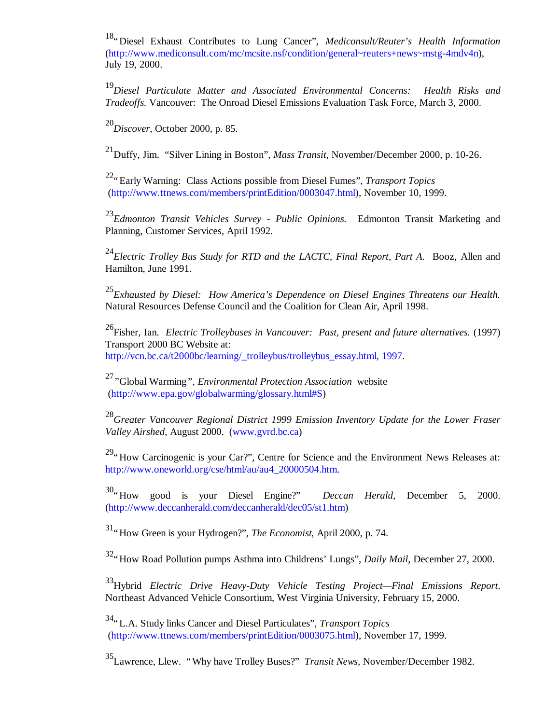<sup>18</sup>"Diesel Exhaust Contributes to Lung Cancer", *Mediconsult/Reuter's Health Information* (http://www.mediconsult.com/mc/mcsite.nsf/condition/general~reuters+news~mstg-4mdv4n), July 19, 2000.

<sup>19</sup>*Diesel Particulate Matter and Associated Environmental Concerns: Health Risks and Tradeoffs.* Vancouver: The Onroad Diesel Emissions Evaluation Task Force, March 3, 2000.

<sup>20</sup>*Discover*, October 2000, p. 85.

<sup>21</sup>Duffy, Jim. "Silver Lining in Boston", *Mass Transit*, November/December 2000, p. 10-26.

<sup>22</sup>"Early Warning: Class Actions possible from Diesel Fumes", *Transport Topics* (http://www.ttnews.com/members/printEdition/0003047.html), November 10, 1999.

<sup>23</sup>*Edmonton Transit Vehicles Survey - Public Opinions.* Edmonton Transit Marketing and Planning, Customer Services, April 1992.

<sup>24</sup>*Electric Trolley Bus Study for RTD and the LACTC, Final Report, Part A.* Booz, Allen and Hamilton, June 1991.

<sup>25</sup>*Exhausted by Diesel: How America's Dependence on Diesel Engines Threatens our Health.* Natural Resources Defense Council and the Coalition for Clean Air, April 1998.

<sup>26</sup>Fisher, Ian. *Electric Trolleybuses in Vancouver: Past, present and future alternatives.* (1997) Transport 2000 BC Website at: http://vcn.bc.ca/t2000bc/learning/\_trolleybus/trolleybus\_essay.html, 1997.

<sup>27</sup>*"*Global Warming*", Environmental Protection Association* website (http://www.epa.gov/globalwarming/glossary.html#S)

<sup>28</sup>*Greater Vancouver Regional District 1999 Emission Inventory Update for the Lower Fraser Valley Airshed*, August 2000. (www.gvrd.bc.ca)

<sup>29</sup>"How Carcinogenic is your Car?", Centre for Science and the Environment News Releases at: http://www.oneworld.org/cse/html/au/au4\_20000504.htm.

<sup>30</sup>"How good is your Diesel Engine?" *Deccan Herald*, December 5, 2000. (http://www.deccanherald.com/deccanherald/dec05/st1.htm)

<sup>31</sup>"How Green is your Hydrogen?", *The Economist*, April 2000, p. 74.

<sup>32</sup>"How Road Pollution pumps Asthma into Childrens' Lungs", *Daily Mail*, December 27, 2000.

<sup>33</sup>Hybrid *Electric Drive Heavy-Duty Vehicle Testing Project— Final Emissions Report*. Northeast Advanced Vehicle Consortium, West Virginia University, February 15, 2000.

<sup>34</sup>"L.A. Study links Cancer and Diesel Particulates", *Transport Topics* (http://www.ttnews.com/members/printEdition/0003075.html), November 17, 1999.

<sup>35</sup>Lawrence, Llew. "Why have Trolley Buses?" *Transit News,* November/December 1982.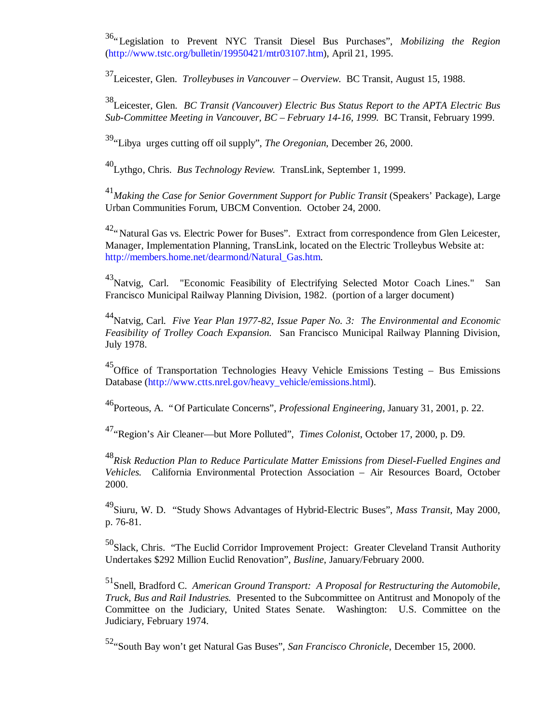<sup>36</sup>"Legislation to Prevent NYC Transit Diesel Bus Purchases", *Mobilizing the Region* (http://www.tstc.org/bulletin/19950421/mtr03107.htm), April 21, 1995.

<sup>37</sup>Leicester, Glen. *Trolleybuses in Vancouver – Overview*. BC Transit, August 15, 1988.

<sup>38</sup>Leicester, Glen. *BC Transit (Vancouver) Electric Bus Status Report to the APTA Electric Bus Sub-Committee Meeting in Vancouver, BC – February 14-16, 1999.* BC Transit, February 1999.

<sup>39</sup>"Libya urges cutting off oil supply", *The Oregonian*, December 26, 2000.

<sup>40</sup>Lythgo, Chris. *Bus Technology Review.* TransLink, September 1, 1999.

<sup>41</sup> Making the Case for Senior Government Support for Public Transit (Speakers' Package), Large Urban Communities Forum, UBCM Convention. October 24, 2000.

<sup>42</sup>"Natural Gas vs. Electric Power for Buses". Extract from correspondence from Glen Leicester, Manager, Implementation Planning, TransLink, located on the Electric Trolleybus Website at: http://members.home.net/dearmond/Natural\_Gas.htm.

<sup>43</sup>Natvig, Carl. "Economic Feasibility of Electrifying Selected Motor Coach Lines." San Francisco Municipal Railway Planning Division, 1982. (portion of a larger document)

<sup>44</sup>Natvig, Carl. *Five Year Plan 1977-82, Issue Paper No. 3: The Environmental and Economic Feasibility of Trolley Coach Expansion.* San Francisco Municipal Railway Planning Division, July 1978.

<sup>45</sup>Office of Transportation Technologies Heavy Vehicle Emissions Testing – Bus Emissions Database (http://www.ctts.nrel.gov/heavy\_vehicle/emissions.html).

<sup>46</sup>Porteous, A. "Of Particulate Concerns", *Professional Engineering*, January 31, 2001, p. 22.

<sup>47</sup>"Region's Air Cleaner— but More Polluted", *Times Colonist*, October 17, 2000, p. D9.

<sup>48</sup>*Risk Reduction Plan to Reduce Particulate Matter Emissions from Diesel-Fuelled Engines and Vehicles.* California Environmental Protection Association – Air Resources Board, October 2000.

<sup>49</sup>Siuru, W. D. "Study Shows Advantages of Hybrid-Electric Buses", *Mass Transit*, May 2000, p. 76-81.

<sup>50</sup>Slack, Chris. "The Euclid Corridor Improvement Project: Greater Cleveland Transit Authority Undertakes \$292 Million Euclid Renovation", *Busline*, January/February 2000.

<sup>51</sup>Snell, Bradford C. *American Ground Transport: A Proposal for Restructuring the Automobile, Truck, Bus and Rail Industries.* Presented to the Subcommittee on Antitrust and Monopoly of the Committee on the Judiciary, United States Senate. Washington: U.S. Committee on the Judiciary, February 1974.

<sup>52</sup>"South Bay won't get Natural Gas Buses", *San Francisco Chronicle*, December 15, 2000.